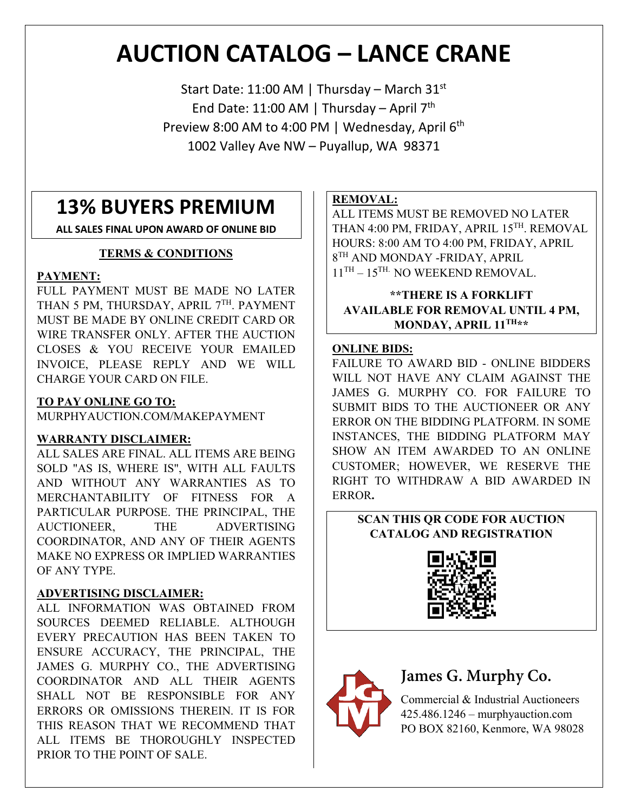# **AUCTION CATALOG – LANCE CRANE**

Start Date: 11:00 AM | Thursday – March  $31^{st}$ End Date: 11:00 AM | Thursday – April  $7<sup>th</sup>$ Preview 8:00 AM to 4:00 PM | Wednesday, April 6<sup>th</sup> 1002 Valley Ave NW – Puyallup, WA 98371

# **13% BUYERS PREMIUM**

**ALL SALES FINAL UPON AWARD OF ONLINE BID**

#### **TERMS & CONDITIONS**

#### **PAYMENT:**

FULL PAYMENT MUST BE MADE NO LATER THAN 5 PM, THURSDAY, APRIL 7TH. PAYMENT MUST BE MADE BY ONLINE CREDIT CARD OR WIRE TRANSFER ONLY. AFTER THE AUCTION CLOSES & YOU RECEIVE YOUR EMAILED INVOICE, PLEASE REPLY AND WE WILL CHARGE YOUR CARD ON FILE.

#### **TO PAY ONLINE GO TO:**

MURPHYAUCTION.COM/MAKEPAYMENT

#### **WARRANTY DISCLAIMER:**

ALL SALES ARE FINAL. ALL ITEMS ARE BEING SOLD "AS IS, WHERE IS", WITH ALL FAULTS AND WITHOUT ANY WARRANTIES AS TO MERCHANTABILITY OF FITNESS FOR A PARTICULAR PURPOSE. THE PRINCIPAL, THE AUCTIONEER, THE ADVERTISING COORDINATOR, AND ANY OF THEIR AGENTS MAKE NO EXPRESS OR IMPLIED WARRANTIES OF ANY TYPE.

#### **ADVERTISING DISCLAIMER:**

ALL INFORMATION WAS OBTAINED FROM SOURCES DEEMED RELIABLE. ALTHOUGH EVERY PRECAUTION HAS BEEN TAKEN TO ENSURE ACCURACY, THE PRINCIPAL, THE JAMES G. MURPHY CO., THE ADVERTISING COORDINATOR AND ALL THEIR AGENTS SHALL NOT BE RESPONSIBLE FOR ANY ERRORS OR OMISSIONS THEREIN. IT IS FOR THIS REASON THAT WE RECOMMEND THAT ALL ITEMS BE THOROUGHLY INSPECTED PRIOR TO THE POINT OF SALE.

#### **REMOVAL:**

ALL ITEMS MUST BE REMOVED NO LATER THAN 4:00 PM, FRIDAY, APRIL 15TH. REMOVAL HOURS: 8:00 AM TO 4:00 PM, FRIDAY, APRIL  $8^{TH}$  AND MONDAY -FRIDAY, APRIL  $11^{TH} - 15^{TH}$ . NO WEEKEND REMOVAL.

**\*\*THERE IS A FORKLIFT AVAILABLE FOR REMOVAL UNTIL 4 PM, MONDAY, APRIL 11TH\*\***

#### **ONLINE BIDS:**

FAILURE TO AWARD BID - ONLINE BIDDERS WILL NOT HAVE ANY CLAIM AGAINST THE JAMES G. MURPHY CO. FOR FAILURE TO SUBMIT BIDS TO THE AUCTIONEER OR ANY ERROR ON THE BIDDING PLATFORM. IN SOME INSTANCES, THE BIDDING PLATFORM MAY SHOW AN ITEM AWARDED TO AN ONLINE CUSTOMER; HOWEVER, WE RESERVE THE RIGHT TO WITHDRAW A BID AWARDED IN ERROR**.**

#### **SCAN THIS QR CODE FOR AUCTION CATALOG AND REGISTRATION**





# **James G. Murphy Co.**

Commercial & Industrial Auctioneers 425.486.1246 – murphyauction.com PO BOX 82160, Kenmore, WA 98028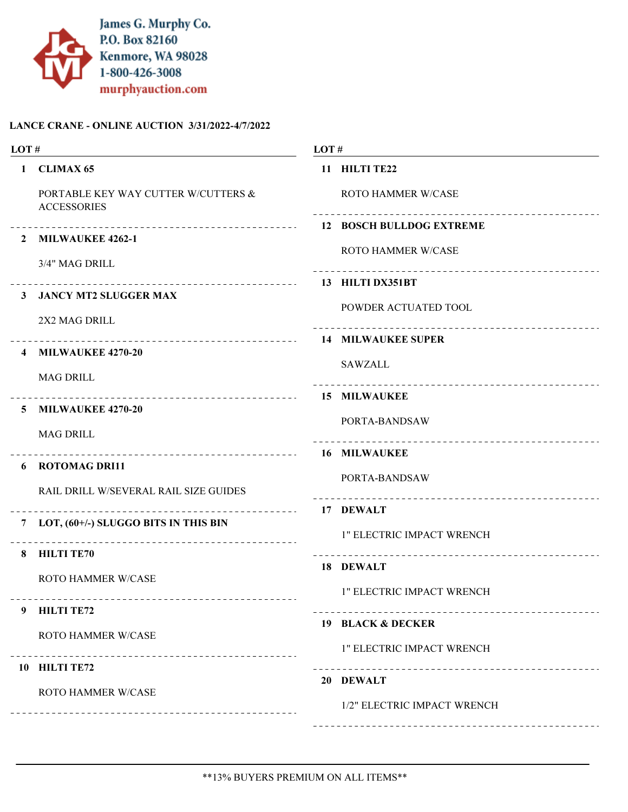

| LOT#                    |                                                           | LOT# |                                    |
|-------------------------|-----------------------------------------------------------|------|------------------------------------|
| $\mathbf{1}$            | <b>CLIMAX 65</b>                                          |      | 11 HILTI TE22                      |
|                         | PORTABLE KEY WAY CUTTER W/CUTTERS &<br><b>ACCESSORIES</b> |      | ROTO HAMMER W/CASE                 |
|                         |                                                           |      |                                    |
| $\mathbf{2}$            | <b>MILWAUKEE 4262-1</b>                                   |      | <b>ROTO HAMMER W/CASE</b>          |
|                         | 3/4" MAG DRILL                                            |      | ---------------------------------- |
|                         | 3 JANCY MT2 SLUGGER MAX                                   |      |                                    |
|                         | 2X2 MAG DRILL                                             |      | POWDER ACTUATED TOOL               |
|                         |                                                           |      |                                    |
| $\overline{\mathbf{4}}$ | <b>MILWAUKEE 4270-20</b>                                  |      |                                    |
|                         | <b>MAG DRILL</b>                                          |      | <b>SAWZALL</b>                     |
|                         |                                                           |      |                                    |
| 5.                      | <b>MILWAUKEE 4270-20</b>                                  |      | PORTA-BANDSAW                      |
|                         | <b>MAG DRILL</b>                                          |      |                                    |
|                         | 6 ROTOMAG DRI11                                           |      |                                    |
|                         | RAIL DRILL W/SEVERAL RAIL SIZE GUIDES                     |      | PORTA-BANDSAW                      |
|                         |                                                           |      | 17 DEWALT                          |
| 7                       | LOT, (60+/-) SLUGGO BITS IN THIS BIN                      |      | 1" ELECTRIC IMPACT WRENCH          |
| 8                       | <b>HILTI TE70</b>                                         |      |                                    |
|                         | <b>ROTO HAMMER W/CASE</b>                                 |      | 18 DEWALT                          |
|                         |                                                           |      | 1" ELECTRIC IMPACT WRENCH          |
| 9                       | <b>HILTI TE72</b>                                         |      |                                    |
|                         | ROTO HAMMER W/CASE                                        |      | 19 BLACK & DECKER                  |
|                         |                                                           |      | 1" ELECTRIC IMPACT WRENCH          |
|                         | 10 HILTI TE72                                             |      | 20 DEWALT                          |
|                         | <b>ROTO HAMMER W/CASE</b>                                 |      | 1/2" ELECTRIC IMPACT WRENCH        |
|                         | ________________                                          |      |                                    |
|                         |                                                           |      |                                    |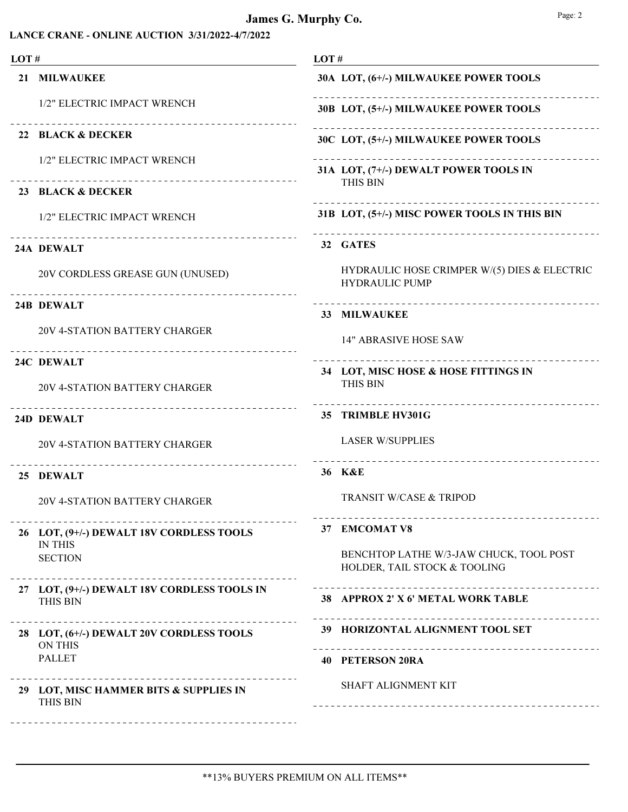| LOT# |                                                                                             | LOT#                                                                       |  |  |
|------|---------------------------------------------------------------------------------------------|----------------------------------------------------------------------------|--|--|
|      | 21 MILWAUKEE                                                                                | 30A LOT, (6+/-) MILWAUKEE POWER TOOLS                                      |  |  |
|      | 1/2" ELECTRIC IMPACT WRENCH                                                                 | 30B LOT, (5+/-) MILWAUKEE POWER TOOLS                                      |  |  |
|      | 22 BLACK & DECKER                                                                           | 30C LOT, (5+/-) MILWAUKEE POWER TOOLS                                      |  |  |
|      | 1/2" ELECTRIC IMPACT WRENCH<br>____________________________                                 | ---------------------------------<br>31A LOT, (7+/-) DEWALT POWER TOOLS IN |  |  |
|      | 23 BLACK & DECKER                                                                           | <b>THIS BIN</b>                                                            |  |  |
|      | 1/2" ELECTRIC IMPACT WRENCH                                                                 | 31B LOT, (5+/-) MISC POWER TOOLS IN THIS BIN                               |  |  |
|      | 24A DEWALT                                                                                  | 32 GATES                                                                   |  |  |
|      | 20V CORDLESS GREASE GUN (UNUSED)                                                            | HYDRAULIC HOSE CRIMPER W/(5) DIES & ELECTRIC<br><b>HYDRAULIC PUMP</b>      |  |  |
|      | 24B DEWALT                                                                                  | 33 MILWAUKEE                                                               |  |  |
|      | 20V 4-STATION BATTERY CHARGER                                                               | <b>14" ABRASIVE HOSE SAW</b>                                               |  |  |
|      | 24C DEWALT                                                                                  | 34 LOT, MISC HOSE & HOSE FITTINGS IN                                       |  |  |
|      | 20V 4-STATION BATTERY CHARGER                                                               | <b>THIS BIN</b>                                                            |  |  |
|      | 24D DEWALT                                                                                  | 35 TRIMBLE HV301G                                                          |  |  |
|      | 20V 4-STATION BATTERY CHARGER                                                               | <b>LASER W/SUPPLIES</b>                                                    |  |  |
|      | 25 DEWALT                                                                                   | 36 K&E                                                                     |  |  |
|      | <b>20V 4-STATION BATTERY CHARGER</b>                                                        | <b>TRANSIT W/CASE &amp; TRIPOD</b>                                         |  |  |
|      | 26 LOT, (9+/-) DEWALT 18V CORDLESS TOOLS                                                    | 37 EMCOMAT V8                                                              |  |  |
|      | <b>IN THIS</b><br><b>SECTION</b>                                                            | BENCHTOP LATHE W/3-JAW CHUCK, TOOL POST<br>HOLDER, TAIL STOCK & TOOLING    |  |  |
|      | 27 LOT, (9+/-) DEWALT 18V CORDLESS TOOLS IN<br><b>THIS BIN</b>                              | 38 APPROX 2' X 6' METAL WORK TABLE                                         |  |  |
|      | _____________________________<br>28 LOT, (6+/-) DEWALT 20V CORDLESS TOOLS<br><b>ON THIS</b> | 39 HORIZONTAL ALIGNMENT TOOL SET                                           |  |  |
|      | <b>PALLET</b>                                                                               | <b>40 PETERSON 20RA</b>                                                    |  |  |
|      | 29 LOT, MISC HAMMER BITS & SUPPLIES IN<br>THIS BIN                                          | SHAFT ALIGNMENT KIT                                                        |  |  |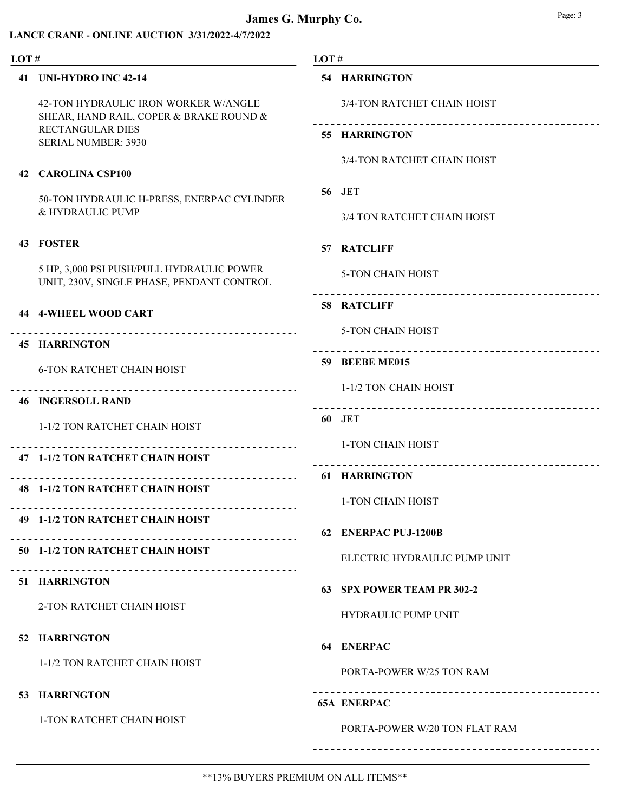| LOT#                                                                                   |  | LOT#                                                     |  |
|----------------------------------------------------------------------------------------|--|----------------------------------------------------------|--|
| 41 UNI-HYDRO INC 42-14                                                                 |  | <b>54 HARRINGTON</b>                                     |  |
| 42-TON HYDRAULIC IRON WORKER W/ANGLE<br>SHEAR, HAND RAIL, COPER & BRAKE ROUND &        |  | 3/4-TON RATCHET CHAIN HOIST                              |  |
| <b>RECTANGULAR DIES</b><br><b>SERIAL NUMBER: 3930</b>                                  |  | 55 HARRINGTON                                            |  |
| ________________________________<br>42 CAROLINA CSP100                                 |  | 3/4-TON RATCHET CHAIN HOIST                              |  |
| 50-TON HYDRAULIC H-PRESS, ENERPAC CYLINDER                                             |  | 56 JET                                                   |  |
| & HYDRAULIC PUMP                                                                       |  | 3/4 TON RATCHET CHAIN HOIST                              |  |
| -------------------------------------<br>43 FOSTER                                     |  | ------------------------------------<br>57 RATCLIFF      |  |
| 5 HP, 3,000 PSI PUSH/PULL HYDRAULIC POWER<br>UNIT, 230V, SINGLE PHASE, PENDANT CONTROL |  | <b>5-TON CHAIN HOIST</b>                                 |  |
| <b>44 4-WHEEL WOOD CART</b>                                                            |  | 58 RATCLIFF                                              |  |
| <b>45 HARRINGTON</b>                                                                   |  | <b>5-TON CHAIN HOIST</b>                                 |  |
| <b>6-TON RATCHET CHAIN HOIST</b>                                                       |  | 59 BEEBE ME015                                           |  |
| -----------------------------<br><b>46 INGERSOLL RAND</b>                              |  | 1-1/2 TON CHAIN HOIST                                    |  |
| 1-1/2 TON RATCHET CHAIN HOIST                                                          |  | 60 JET                                                   |  |
| _____________________<br>47 1-1/2 TON RATCHET CHAIN HOIST                              |  | 1-TON CHAIN HOIST<br>___________________________________ |  |
| .<br><b>48 1-1/2 TON RATCHET CHAIN HOIST</b>                                           |  | 61 HARRINGTON                                            |  |
|                                                                                        |  | 1-TON CHAIN HOIST                                        |  |
| 49 1-1/2 TON RATCHET CHAIN HOIST                                                       |  | 62 ENERPAC PUJ-1200B                                     |  |
| 50 1-1/2 TON RATCHET CHAIN HOIST<br>__________________________________                 |  | ELECTRIC HYDRAULIC PUMP UNIT                             |  |
| 51 HARRINGTON                                                                          |  | 63 SPX POWER TEAM PR 302-2                               |  |
| 2-TON RATCHET CHAIN HOIST                                                              |  | <b>HYDRAULIC PUMP UNIT</b>                               |  |
| 52 HARRINGTON                                                                          |  | 64 ENERPAC                                               |  |
| 1-1/2 TON RATCHET CHAIN HOIST                                                          |  | PORTA-POWER W/25 TON RAM                                 |  |
| ----------------------------------<br>53 HARRINGTON                                    |  | <b>65A ENERPAC</b>                                       |  |
| 1-TON RATCHET CHAIN HOIST                                                              |  | PORTA-POWER W/20 TON FLAT RAM                            |  |
|                                                                                        |  |                                                          |  |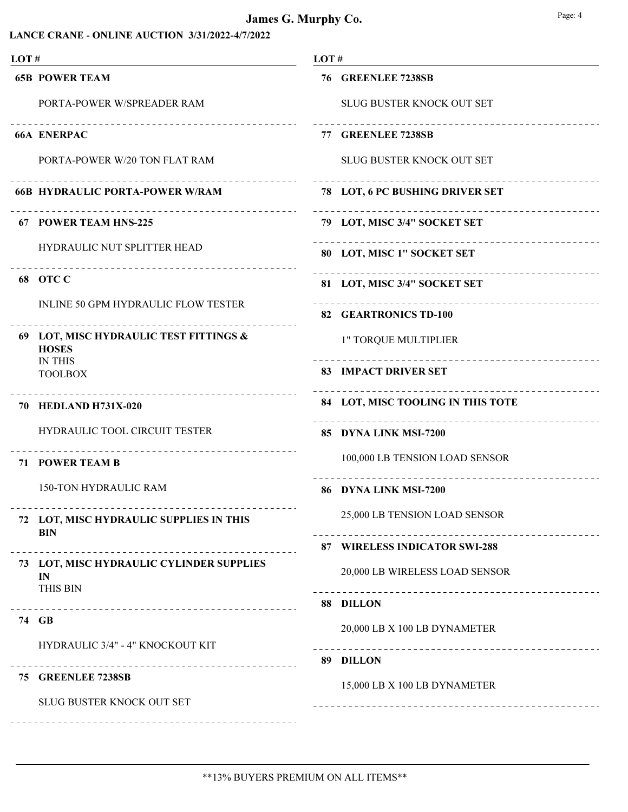| LOT# |                                                                    | LOT#                                                    |  |
|------|--------------------------------------------------------------------|---------------------------------------------------------|--|
|      | <b>65B POWER TEAM</b>                                              | 76 GREENLEE 7238SB                                      |  |
|      | PORTA-POWER W/SPREADER RAM                                         | SLUG BUSTER KNOCK OUT SET                               |  |
|      | <b>66A ENERPAC</b>                                                 | 77 GREENLEE 7238SB                                      |  |
|      | PORTA-POWER W/20 TON FLAT RAM                                      | <b>SLUG BUSTER KNOCK OUT SET</b>                        |  |
|      | <u>_______________</u><br><b>66B HYDRAULIC PORTA-POWER W/RAM</b>   | __________________<br>78 LOT, 6 PC BUSHING DRIVER SET   |  |
|      | 67 POWER TEAM HNS-225                                              | 79 LOT, MISC 3/4" SOCKET SET                            |  |
|      | HYDRAULIC NUT SPLITTER HEAD                                        | _________________________<br>80 LOT, MISC 1" SOCKET SET |  |
|      | 68 OTC C                                                           | 81 LOT, MISC 3/4" SOCKET SET                            |  |
|      | INLINE 50 GPM HYDRAULIC FLOW TESTER                                | 82 GEARTRONICS TD-100                                   |  |
|      | 69 LOT, MISC HYDRAULIC TEST FITTINGS &<br><b>HOSES</b>             | 1" TORQUE MULTIPLIER                                    |  |
|      | <b>IN THIS</b><br><b>TOOLBOX</b>                                   | <b>83 IMPACT DRIVER SET</b>                             |  |
|      | 70 HEDLAND H731X-020                                               | 84 LOT, MISC TOOLING IN THIS TOTE                       |  |
|      | HYDRAULIC TOOL CIRCUIT TESTER                                      | 85 DYNA LINK MSI-7200                                   |  |
|      | --------------------------------<br><b>71 POWER TEAM B</b>         | 100,000 LB TENSION LOAD SENSOR                          |  |
|      | <b>150-TON HYDRAULIC RAM</b>                                       | 86 DYNA LINK MSI-7200                                   |  |
|      | 72 LOT, MISC HYDRAULIC SUPPLIES IN THIS<br><b>BIN</b>              | 25,000 LB TENSION LOAD SENSOR                           |  |
|      |                                                                    | 87 WIRELESS INDICATOR SWI-288                           |  |
|      | 73 LOT, MISC HYDRAULIC CYLINDER SUPPLIES<br>IN                     | 20,000 LB WIRELESS LOAD SENSOR                          |  |
|      | THIS BIN<br>____________________________________                   | 88 DILLON                                               |  |
|      | 74 GB                                                              | 20,000 LB X 100 LB DYNAMETER                            |  |
|      | HYDRAULIC 3/4" - 4" KNOCKOUT KIT<br>______________________________ | 89 DILLON                                               |  |
|      | 75 GREENLEE 7238SB                                                 | 15,000 LB X 100 LB DYNAMETER                            |  |
|      | SLUG BUSTER KNOCK OUT SET                                          |                                                         |  |
|      |                                                                    |                                                         |  |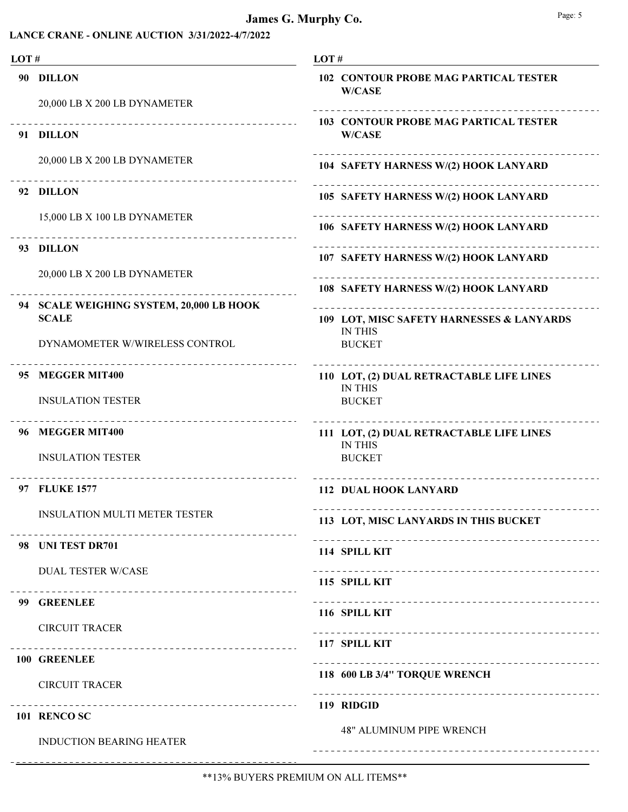| LOT# |                                                                   | LOT#                                                          |  |  |
|------|-------------------------------------------------------------------|---------------------------------------------------------------|--|--|
|      | 90 DILLON                                                         | <b>102 CONTOUR PROBE MAG PARTICAL TESTER</b><br><b>W/CASE</b> |  |  |
|      | 20,000 LB X 200 LB DYNAMETER                                      |                                                               |  |  |
|      | 91 DILLON                                                         | <b>103 CONTOUR PROBE MAG PARTICAL TESTER</b><br><b>W/CASE</b> |  |  |
|      | 20,000 LB X 200 LB DYNAMETER                                      | 104 SAFETY HARNESS W/(2) HOOK LANYARD                         |  |  |
|      | 92 DILLON                                                         | 105 SAFETY HARNESS W/(2) HOOK LANYARD                         |  |  |
|      | 15,000 LB X 100 LB DYNAMETER                                      | 106 SAFETY HARNESS W/(2) HOOK LANYARD                         |  |  |
|      | 93 DILLON                                                         | 107 SAFETY HARNESS W/(2) HOOK LANYARD                         |  |  |
|      | 20,000 LB X 200 LB DYNAMETER                                      | 108 SAFETY HARNESS W/(2) HOOK LANYARD                         |  |  |
|      | 94 SCALE WEIGHING SYSTEM, 20,000 LB HOOK                          |                                                               |  |  |
|      | <b>SCALE</b>                                                      | 109 LOT, MISC SAFETY HARNESSES & LANYARDS                     |  |  |
|      | DYNAMOMETER W/WIRELESS CONTROL                                    | <b>IN THIS</b><br><b>BUCKET</b>                               |  |  |
|      | 95 MEGGER MIT400                                                  | 110 LOT, (2) DUAL RETRACTABLE LIFE LINES<br><b>IN THIS</b>    |  |  |
|      | <b>INSULATION TESTER</b>                                          | <b>BUCKET</b>                                                 |  |  |
|      | 96 MEGGER MIT400                                                  | 111 LOT, (2) DUAL RETRACTABLE LIFE LINES<br><b>IN THIS</b>    |  |  |
|      | <b>INSULATION TESTER</b>                                          | <b>BUCKET</b>                                                 |  |  |
|      | ________________________________<br>97 FLUKE 1577                 | <b>112 DUAL HOOK LANYARD</b>                                  |  |  |
|      | INSULATION MULTI METER TESTER<br>-------------------------------- | 113 LOT, MISC LANYARDS IN THIS BUCKET                         |  |  |
|      | 98 UNI TEST DR701                                                 | 114 SPILL KIT                                                 |  |  |
|      | <b>DUAL TESTER W/CASE</b>                                         | 115 SPILL KIT                                                 |  |  |
|      | 99 GREENLEE                                                       |                                                               |  |  |
|      | <b>CIRCUIT TRACER</b>                                             | 116 SPILL KIT                                                 |  |  |
|      | 100 GREENLEE                                                      | 117 SPILL KIT                                                 |  |  |
|      | <b>CIRCUIT TRACER</b>                                             | 118 600 LB 3/4" TORQUE WRENCH                                 |  |  |
|      | -----------------------------------                               | 119 RIDGID                                                    |  |  |
|      | 101 RENCO SC                                                      |                                                               |  |  |
|      | <b>INDUCTION BEARING HEATER</b>                                   | <b>48" ALUMINUM PIPE WRENCH</b>                               |  |  |
|      |                                                                   |                                                               |  |  |

---------------

 $- - - - - -$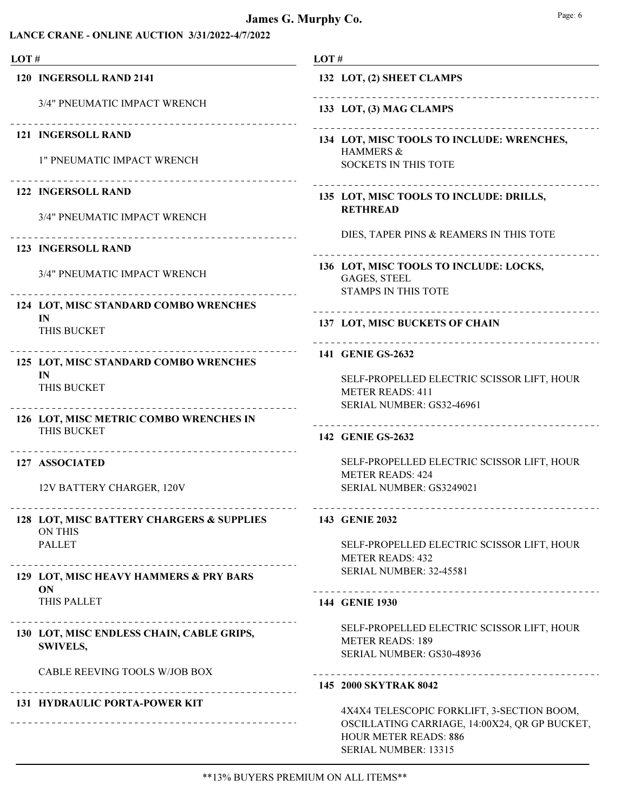#### James G. Murphy Co. Bage: 6 Page: 6

| LOT# |                                                              | LOT#                                                                                                                                                |  |
|------|--------------------------------------------------------------|-----------------------------------------------------------------------------------------------------------------------------------------------------|--|
|      | 120 INGERSOLL RAND 2141                                      | 132 LOT, (2) SHEET CLAMPS                                                                                                                           |  |
|      | 3/4" PNEUMATIC IMPACT WRENCH                                 | ----------<br>133 LOT, (3) MAG CLAMPS                                                                                                               |  |
|      | 121 INGERSOLL RAND                                           | 134 LOT, MISC TOOLS TO INCLUDE: WRENCHES,                                                                                                           |  |
|      | <b>1" PNEUMATIC IMPACT WRENCH</b>                            | HAMMERS &<br><b>SOCKETS IN THIS TOTE</b>                                                                                                            |  |
|      | <b>122 INGERSOLL RAND</b>                                    | 135 LOT, MISC TOOLS TO INCLUDE: DRILLS,                                                                                                             |  |
|      | 3/4" PNEUMATIC IMPACT WRENCH                                 | <b>RETHREAD</b>                                                                                                                                     |  |
|      | 123 INGERSOLL RAND                                           | DIES, TAPER PINS & REAMERS IN THIS TOTE                                                                                                             |  |
|      | 3/4" PNEUMATIC IMPACT WRENCH                                 | 136 LOT, MISC TOOLS TO INCLUDE: LOCKS,<br><b>GAGES, STEEL</b><br><b>STAMPS IN THIS TOTE</b>                                                         |  |
|      | 124 LOT, MISC STANDARD COMBO WRENCHES                        |                                                                                                                                                     |  |
|      | IN<br>THIS BUCKET                                            | 137 LOT, MISC BUCKETS OF CHAIN                                                                                                                      |  |
|      | 125 LOT, MISC STANDARD COMBO WRENCHES                        | 141 GENIE GS-2632                                                                                                                                   |  |
|      | IN<br>THIS BUCKET                                            | SELF-PROPELLED ELECTRIC SCISSOR LIFT, HOUR<br><b>METER READS: 411</b>                                                                               |  |
|      | 126 LOT, MISC METRIC COMBO WRENCHES IN                       | SERIAL NUMBER: GS32-46961                                                                                                                           |  |
|      | THIS BUCKET                                                  | 142 GENIE GS-2632                                                                                                                                   |  |
|      | ____________________________________<br>127 ASSOCIATED       | SELF-PROPELLED ELECTRIC SCISSOR LIFT, HOUR<br><b>METER READS: 424</b>                                                                               |  |
|      | 12V BATTERY CHARGER, 120V                                    | SERIAL NUMBER: GS3249021                                                                                                                            |  |
|      | 128 LOT, MISC BATTERY CHARGERS & SUPPLIES<br><b>ON THIS</b>  | 143 GENIE 2032                                                                                                                                      |  |
|      | <b>PALLET</b><br>____________________________                | SELF-PROPELLED ELECTRIC SCISSOR LIFT, HOUR<br><b>METER READS: 432</b>                                                                               |  |
|      | 129 LOT, MISC HEAVY HAMMERS & PRY BARS<br><b>ON</b>          | <b>SERIAL NUMBER: 32-45581</b><br>_________________________________                                                                                 |  |
|      | THIS PALLET                                                  | 144 GENIE 1930                                                                                                                                      |  |
|      | 130 LOT, MISC ENDLESS CHAIN, CABLE GRIPS,<br><b>SWIVELS,</b> | SELF-PROPELLED ELECTRIC SCISSOR LIFT, HOUR<br><b>METER READS: 189</b><br>SERIAL NUMBER: GS30-48936                                                  |  |
|      | CABLE REEVING TOOLS W/JOB BOX                                |                                                                                                                                                     |  |
|      |                                                              | 145 2000 SKYTRAK 8042                                                                                                                               |  |
|      | <b>131 HYDRAULIC PORTA-POWER KIT</b>                         | 4X4X4 TELESCOPIC FORKLIFT, 3-SECTION BOOM,<br>OSCILLATING CARRIAGE, 14:00X24, QR GP BUCKET,<br><b>HOUR METER READS: 886</b><br>SERIAL NUMBER: 13315 |  |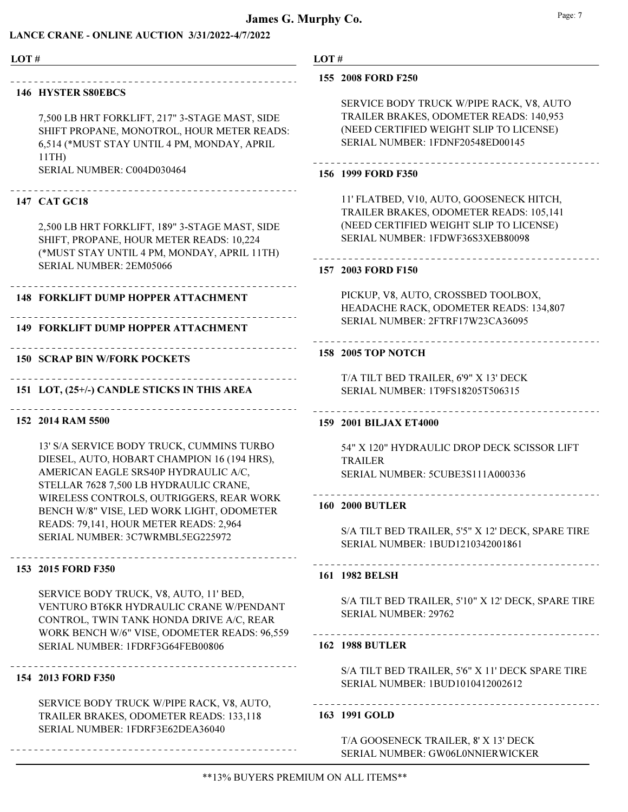#### LANCE CRANE - ONLINE AUCTION 3/31/2022-4/7/2022

| LOT# |                                                                                                                                                                                                                                                                                                                                                   | LOT# |                                                                                                                                                                                          |
|------|---------------------------------------------------------------------------------------------------------------------------------------------------------------------------------------------------------------------------------------------------------------------------------------------------------------------------------------------------|------|------------------------------------------------------------------------------------------------------------------------------------------------------------------------------------------|
|      | -----------------------------<br><b>146 HYSTER S80EBCS</b><br>7,500 LB HRT FORKLIFT, 217" 3-STAGE MAST, SIDE<br>SHIFT PROPANE, MONOTROL, HOUR METER READS:<br>6,514 (*MUST STAY UNTIL 4 PM, MONDAY, APRIL<br>11TH<br>SERIAL NUMBER: C004D030464                                                                                                   |      | 155 2008 FORD F250<br>SERVICE BODY TRUCK W/PIPE RACK, V8, AUTO<br>TRAILER BRAKES, ODOMETER READS: 140,953<br>(NEED CERTIFIED WEIGHT SLIP TO LICENSE)<br>SERIAL NUMBER: 1FDNF20548ED00145 |
|      |                                                                                                                                                                                                                                                                                                                                                   |      | 156 1999 FORD F350                                                                                                                                                                       |
|      | 147 CAT GC18<br>2,500 LB HRT FORKLIFT, 189" 3-STAGE MAST, SIDE<br>SHIFT, PROPANE, HOUR METER READS: 10,224<br>(*MUST STAY UNTIL 4 PM, MONDAY, APRIL 11TH)<br>SERIAL NUMBER: 2EM05066                                                                                                                                                              |      | 11' FLATBED, V10, AUTO, GOOSENECK HITCH,<br>TRAILER BRAKES, ODOMETER READS: 105,141<br>(NEED CERTIFIED WEIGHT SLIP TO LICENSE)<br>SERIAL NUMBER: 1FDWF36S3XEB80098                       |
|      |                                                                                                                                                                                                                                                                                                                                                   |      | 157 2003 FORD F150                                                                                                                                                                       |
|      | <b>148 FORKLIFT DUMP HOPPER ATTACHMENT</b><br><b>149 FORKLIFT DUMP HOPPER ATTACHMENT</b>                                                                                                                                                                                                                                                          |      | PICKUP, V8, AUTO, CROSSBED TOOLBOX,<br>HEADACHE RACK, ODOMETER READS: 134,807<br>SERIAL NUMBER: 2FTRF17W23CA36095                                                                        |
|      |                                                                                                                                                                                                                                                                                                                                                   |      | 158 2005 TOP NOTCH                                                                                                                                                                       |
|      | <b>150 SCRAP BIN W/FORK POCKETS</b>                                                                                                                                                                                                                                                                                                               |      |                                                                                                                                                                                          |
|      | 151 LOT, (25+/-) CANDLE STICKS IN THIS AREA                                                                                                                                                                                                                                                                                                       |      | T/A TILT BED TRAILER, 6'9" X 13' DECK<br>SERIAL NUMBER: 1T9FS18205T506315                                                                                                                |
|      | 152 2014 RAM 5500                                                                                                                                                                                                                                                                                                                                 |      | 159 2001 BILJAX ET4000                                                                                                                                                                   |
|      | 13' S/A SERVICE BODY TRUCK, CUMMINS TURBO<br>DIESEL, AUTO, HOBART CHAMPION 16 (194 HRS),<br>AMERICAN EAGLE SRS40P HYDRAULIC A/C,<br>STELLAR 7628 7,500 LB HYDRAULIC CRANE,<br>WIRELESS CONTROLS, OUTRIGGERS, REAR WORK<br>BENCH W/8" VISE, LED WORK LIGHT, ODOMETER<br>READS: 79,141, HOUR METER READS: 2,964<br>SERIAL NUMBER: 3C7WRMBL5EG225972 |      | 54" X 120" HYDRAULIC DROP DECK SCISSOR LIF<br><b>TRAILER</b><br>SERIAL NUMBER: 5CUBE3S111A000336                                                                                         |
|      |                                                                                                                                                                                                                                                                                                                                                   |      | ------------------------------<br><b>160 2000 BUTLER</b>                                                                                                                                 |
|      |                                                                                                                                                                                                                                                                                                                                                   |      | S/A TILT BED TRAILER, 5'5" X 12' DECK, SPARE T<br>SERIAL NUMBER: 1BUD1210342001861                                                                                                       |
|      | -------------------------------<br>153 2015 FORD F350                                                                                                                                                                                                                                                                                             |      | 161 1982 BELSH                                                                                                                                                                           |
|      | SERVICE BODY TRUCK, V8, AUTO, 11' BED,<br>VENTURO BT6KR HYDRAULIC CRANE W/PENDANT<br>CONTROL, TWIN TANK HONDA DRIVE A/C, REAR                                                                                                                                                                                                                     |      | S/A TILT BED TRAILER, 5'10" X 12' DECK, SPARE<br><b>SERIAL NUMBER: 29762</b>                                                                                                             |

-------------------------------

--------------------------------

\_\_\_\_\_\_\_\_\_\_\_\_\_\_\_\_\_\_\_\_\_\_\_\_\_\_\_\_\_\_\_\_

-------------------------------

-------------------------------

AILER, 5'5" X 12' DECK, SPARE TIRE SERIAL NUMBER: 1BUD1210342001861

AILER, 5'10" X 12' DECK, SPARE TIRE 29762

#### 162 1988 BUTLER

S/A TILT BED TRAILER, 5'6" X 11' DECK SPARE TIRE SERIAL NUMBER: 1BUD1010412002612

#### 163 1991 GOLD

T/A GOOSENECK TRAILER, 8' X 13' DECK SERIAL NUMBER: GW06L0NNIERWICKER

SERVICE BODY TRUCK W/PIPE RACK, V8, AUTO, TRAILER BRAKES, ODOMETER READS: 133,118 SERIAL NUMBER: 1FDRF3E62DEA36040

WORK BENCH W/6" VISE, ODOMETER READS: 96,559

SERIAL NUMBER: 1FDRF3G64FEB00806

#### 154 2013 FORD F350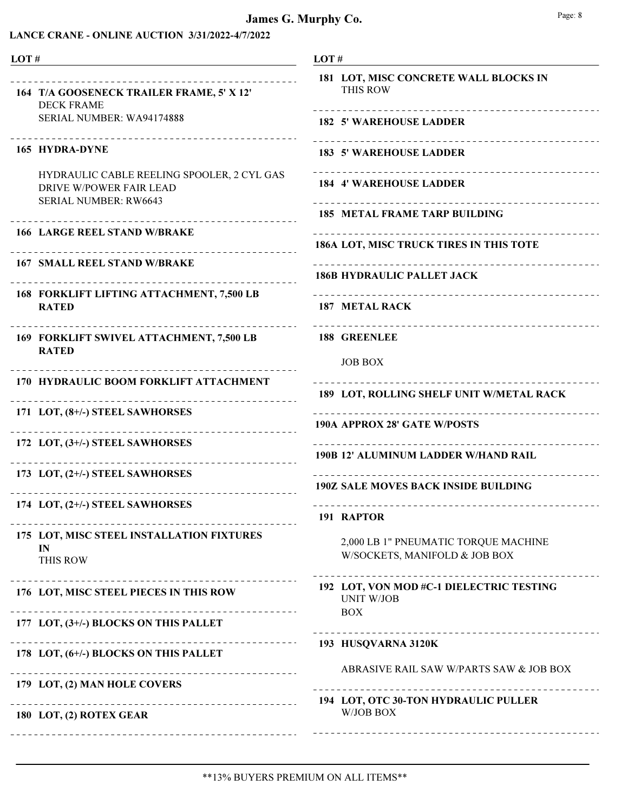#### LANCE CRANE - ONLINE AUCTION 3/31/2022-4/7/2022

| LOT#                                                                                                   | LOT#                                                                             |
|--------------------------------------------------------------------------------------------------------|----------------------------------------------------------------------------------|
| ____________________________________<br>164 T/A GOOSENECK TRAILER FRAME, 5' X 12'<br><b>DECK FRAME</b> | 181 LOT, MISC CONCRETE WALL BLOCKS IN<br>THIS ROW<br>. _ _ _ _ _ _ _ _ _ _ _ _ _ |
| SERIAL NUMBER: WA94174888<br>_____________________                                                     | <b>182 5' WAREHOUSE LADDER</b>                                                   |
| 165 HYDRA-DYNE                                                                                         | <b>183 5' WAREHOUSE LADDER</b>                                                   |
| HYDRAULIC CABLE REELING SPOOLER, 2 CYL GAS<br>DRIVE W/POWER FAIR LEAD<br>SERIAL NUMBER: RW6643         | <b>184 4' WAREHOUSE LADDER</b>                                                   |
|                                                                                                        | <b>185 METAL FRAME TARP BUILDING</b>                                             |
| <b>166 LARGE REEL STAND W/BRAKE</b>                                                                    | 186A LOT, MISC TRUCK TIRES IN THIS TOTE                                          |
| <b>167 SMALL REEL STAND W/BRAKE</b>                                                                    | <b>186B HYDRAULIC PALLET JACK</b>                                                |
| 168 FORKLIFT LIFTING ATTACHMENT, 7,500 LB<br><b>RATED</b>                                              | 187 METAL RACK                                                                   |
| 169 FORKLIFT SWIVEL ATTACHMENT, 7,500 LB<br><b>RATED</b>                                               | <b>188 GREENLEE</b>                                                              |
|                                                                                                        | <b>JOB BOX</b>                                                                   |
| 170 HYDRAULIC BOOM FORKLIFT ATTACHMENT                                                                 | 189 LOT, ROLLING SHELF UNIT W/METAL RACK                                         |
| 171 LOT, (8+/-) STEEL SAWHORSES                                                                        |                                                                                  |
| 172 LOT, (3+/-) STEEL SAWHORSES                                                                        | <b>190A APPROX 28' GATE W/POSTS</b>                                              |
| ______________________________                                                                         | 190B 12' ALUMINUM LADDER W/HAND RAIL                                             |
| 173 LOT, (2+/-) STEEL SAWHORSES                                                                        | <b>190Z SALE MOVES BACK INSIDE BUILDING</b>                                      |
| 174 LOT, (2+/-) STEEL SAWHORSES                                                                        |                                                                                  |
|                                                                                                        | 191 RAPTOR                                                                       |
| 175 LOT, MISC STEEL INSTALLATION FIXTURES<br>IN<br><b>THIS ROW</b>                                     | 2,000 LB 1" PNEUMATIC TORQUE MACHINE<br>W/SOCKETS, MANIFOLD & JOB BOX            |
| ________________________________<br>176 LOT, MISC STEEL PIECES IN THIS ROW                             | 192 LOT, VON MOD #C-1 DIELECTRIC TESTING<br><b>UNIT W/JOB</b><br><b>BOX</b>      |
| 177 LOT, (3+/-) BLOCKS ON THIS PALLET                                                                  | ____________________________                                                     |
| 178 LOT, (6+/-) BLOCKS ON THIS PALLET                                                                  | 193 HUSQVARNA 3120K                                                              |
| 179 LOT, (2) MAN HOLE COVERS                                                                           | ABRASIVE RAIL SAW W/PARTS SAW & JOB BOX                                          |
|                                                                                                        | 194 LOT, OTC 30-TON HYDRAULIC PULLER                                             |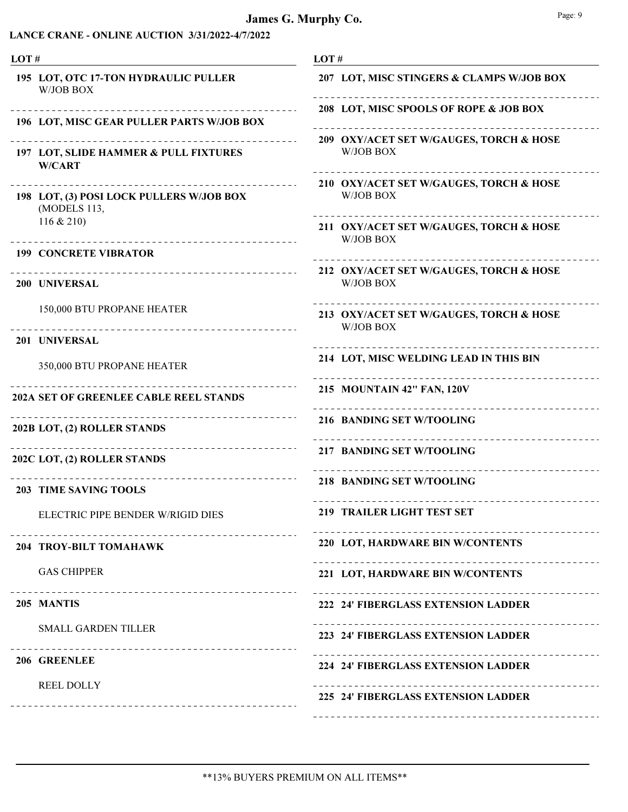| LOT# |                                                                               | LOT#                                                                                          |  |  |
|------|-------------------------------------------------------------------------------|-----------------------------------------------------------------------------------------------|--|--|
|      | 195 LOT, OTC 17-TON HYDRAULIC PULLER<br>W/JOB BOX                             | 207 LOT, MISC STINGERS & CLAMPS W/JOB BOX                                                     |  |  |
|      | 196 LOT, MISC GEAR PULLER PARTS W/JOB BOX                                     | 208 LOT, MISC SPOOLS OF ROPE & JOB BOX                                                        |  |  |
|      | 197 LOT, SLIDE HAMMER & PULL FIXTURES<br><b>W/CART</b>                        | 209 OXY/ACET SET W/GAUGES, TORCH & HOSE<br>W/JOB BOX                                          |  |  |
|      | $- - - - - - - -$<br>198 LOT, (3) POSI LOCK PULLERS W/JOB BOX<br>(MODELS 113, | 210 OXY/ACET SET W/GAUGES, TORCH & HOSE<br>W/JOB BOX                                          |  |  |
|      | $116 \& 210$                                                                  | 211 OXY/ACET SET W/GAUGES, TORCH & HOSE<br>W/JOB BOX                                          |  |  |
|      | <b>199 CONCRETE VIBRATOR</b>                                                  |                                                                                               |  |  |
|      | 200 UNIVERSAL                                                                 | 212 OXY/ACET SET W/GAUGES, TORCH & HOSE<br>W/JOB BOX                                          |  |  |
|      | 150,000 BTU PROPANE HEATER                                                    | _____________________________________<br>213 OXY/ACET SET W/GAUGES, TORCH & HOSE<br>W/JOB BOX |  |  |
|      | 201 UNIVERSAL                                                                 |                                                                                               |  |  |
|      | 350,000 BTU PROPANE HEATER                                                    | 214 LOT, MISC WELDING LEAD IN THIS BIN                                                        |  |  |
|      | 202A SET OF GREENLEE CABLE REEL STANDS                                        | 215 MOUNTAIN 42" FAN, 120V                                                                    |  |  |
|      | 202B LOT, (2) ROLLER STANDS                                                   | 216 BANDING SET W/TOOLING                                                                     |  |  |
|      | -----------------------------------<br>202C LOT, (2) ROLLER STANDS            | <b>217 BANDING SET W/TOOLING</b>                                                              |  |  |
|      | <b>203 TIME SAVING TOOLS</b>                                                  | <b>218 BANDING SET W/TOOLING</b>                                                              |  |  |
|      | ELECTRIC PIPE BENDER W/RIGID DIES                                             | 219 TRAILER LIGHT TEST SET                                                                    |  |  |
|      | ---------------------------<br>204 TROY-BILT TOMAHAWK                         | 220 LOT, HARDWARE BIN W/CONTENTS                                                              |  |  |
|      | <b>GAS CHIPPER</b>                                                            | 221 LOT, HARDWARE BIN W/CONTENTS                                                              |  |  |
|      | 205 MANTIS                                                                    | 222 24' FIBERGLASS EXTENSION LADDER                                                           |  |  |
|      | <b>SMALL GARDEN TILLER</b>                                                    | 223 24' FIBERGLASS EXTENSION LADDER                                                           |  |  |
|      | 206 GREENLEE                                                                  | 224 24' FIBERGLASS EXTENSION LADDER                                                           |  |  |
|      | <b>REEL DOLLY</b>                                                             | 225 24' FIBERGLASS EXTENSION LADDER                                                           |  |  |
|      |                                                                               |                                                                                               |  |  |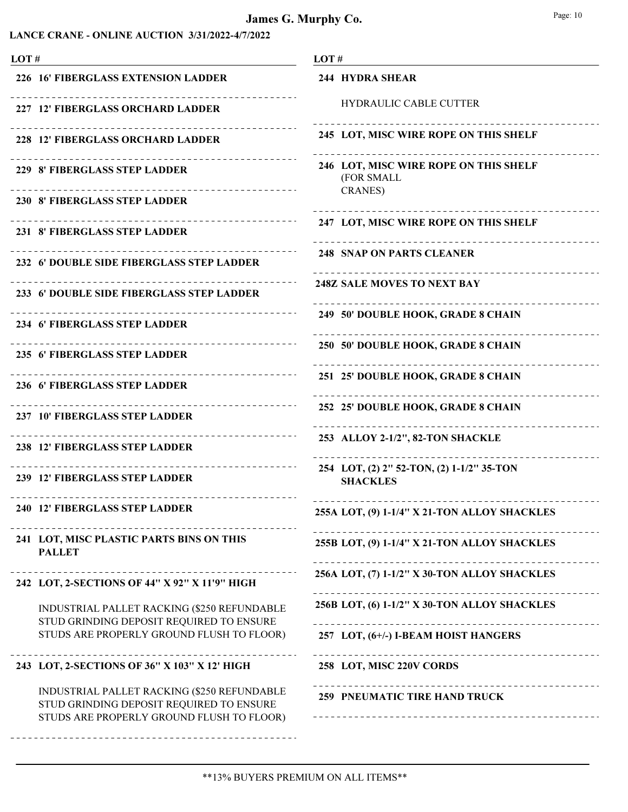| LOT# |                                                                                                                                      | LOT#                                                                   |  |  |
|------|--------------------------------------------------------------------------------------------------------------------------------------|------------------------------------------------------------------------|--|--|
|      | 226 16' FIBERGLASS EXTENSION LADDER                                                                                                  | <b>244 HYDRA SHEAR</b>                                                 |  |  |
|      | 227 12' FIBERGLASS ORCHARD LADDER                                                                                                    | <b>HYDRAULIC CABLE CUTTER</b>                                          |  |  |
|      | 228 12' FIBERGLASS ORCHARD LADDER                                                                                                    | 245 LOT, MISC WIRE ROPE ON THIS SHELF                                  |  |  |
|      | 229 8' FIBERGLASS STEP LADDER                                                                                                        | 246 LOT, MISC WIRE ROPE ON THIS SHELF<br>(FOR SMALL<br><b>CRANES</b> ) |  |  |
|      | 230 8' FIBERGLASS STEP LADDER                                                                                                        |                                                                        |  |  |
|      | 231 8' FIBERGLASS STEP LADDER                                                                                                        | 247 LOT, MISC WIRE ROPE ON THIS SHELF                                  |  |  |
|      | 232 6' DOUBLE SIDE FIBERGLASS STEP LADDER                                                                                            | <b>248 SNAP ON PARTS CLEANER</b>                                       |  |  |
|      | 233 6' DOUBLE SIDE FIBERGLASS STEP LADDER                                                                                            | <b>248Z SALE MOVES TO NEXT BAY</b>                                     |  |  |
|      | 234 6' FIBERGLASS STEP LADDER                                                                                                        | 249 50' DOUBLE HOOK, GRADE 8 CHAIN                                     |  |  |
|      | _________________<br>235 6' FIBERGLASS STEP LADDER                                                                                   | 250 50' DOUBLE HOOK, GRADE 8 CHAIN                                     |  |  |
|      | ---------------------<br>236 6' FIBERGLASS STEP LADDER                                                                               | 251 25' DOUBLE HOOK, GRADE 8 CHAIN                                     |  |  |
|      | 237 10' FIBERGLASS STEP LADDER                                                                                                       | 252 25' DOUBLE HOOK, GRADE 8 CHAIN                                     |  |  |
|      | -------------------<br>238 12' FIBERGLASS STEP LADDER                                                                                | 253 ALLOY 2-1/2", 82-TON SHACKLE                                       |  |  |
|      | 239 12' FIBERGLASS STEP LADDER                                                                                                       | 254 LOT, (2) 2" 52-TON, (2) 1-1/2" 35-TON<br><b>SHACKLES</b>           |  |  |
|      | 240 12' FIBERGLASS STEP LADDER                                                                                                       | 255A LOT, (9) 1-1/4" X 21-TON ALLOY SHACKLES                           |  |  |
|      | 241 LOT, MISC PLASTIC PARTS BINS ON THIS<br><b>PALLET</b>                                                                            | 255B LOT, (9) 1-1/4" X 21-TON ALLOY SHACKLES                           |  |  |
|      | 242 LOT, 2-SECTIONS OF 44" X 92" X 11'9" HIGH                                                                                        | 256A LOT, (7) 1-1/2" X 30-TON ALLOY SHACKLES                           |  |  |
|      | INDUSTRIAL PALLET RACKING (\$250 REFUNDABLE<br>STUD GRINDING DEPOSIT REQUIRED TO ENSURE                                              | 256B LOT, (6) 1-1/2" X 30-TON ALLOY SHACKLES                           |  |  |
|      | STUDS ARE PROPERLY GROUND FLUSH TO FLOOR)                                                                                            | 257 LOT, (6+/-) I-BEAM HOIST HANGERS                                   |  |  |
|      | 243 LOT, 2-SECTIONS OF 36" X 103" X 12' HIGH                                                                                         | 258 LOT, MISC 220V CORDS                                               |  |  |
|      | INDUSTRIAL PALLET RACKING (\$250 REFUNDABLE<br>STUD GRINDING DEPOSIT REQUIRED TO ENSURE<br>STUDS ARE PROPERLY GROUND FLUSH TO FLOOR) | 259 PNEUMATIC TIRE HAND TRUCK                                          |  |  |
|      |                                                                                                                                      |                                                                        |  |  |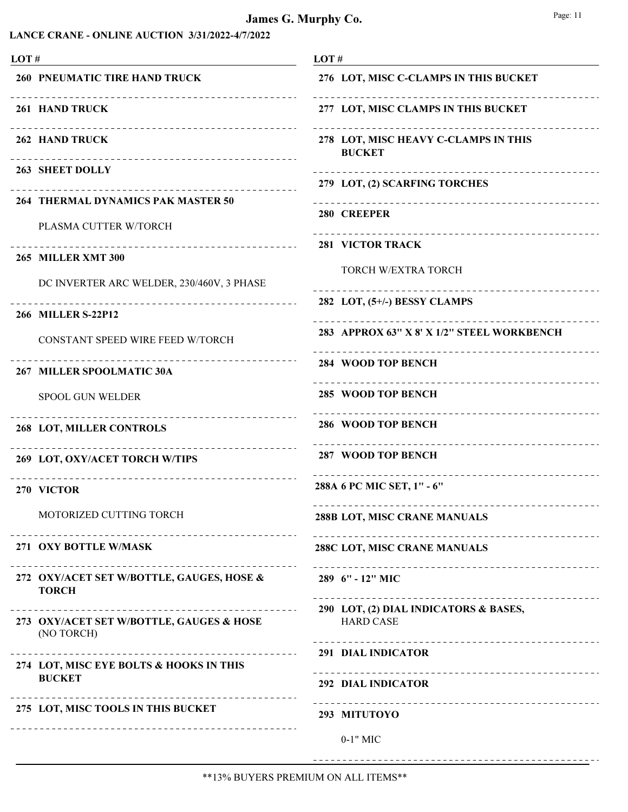# James G. Murphy Co.

|--|--|

| LOT#                                                                          | LOT#                                                      |
|-------------------------------------------------------------------------------|-----------------------------------------------------------|
| <b>260 PNEUMATIC TIRE HAND TRUCK</b>                                          | 276 LOT, MISC C-CLAMPS IN THIS BUCKET                     |
| 261 HAND TRUCK                                                                | 277 LOT, MISC CLAMPS IN THIS BUCKET                       |
| ---------------------------------<br>262 HAND TRUCK                           | 278 LOT, MISC HEAVY C-CLAMPS IN THIS<br><b>BUCKET</b>     |
| 263 SHEET DOLLY<br>_________________________________                          | 279 LOT, (2) SCARFING TORCHES                             |
| 264 THERMAL DYNAMICS PAK MASTER 50<br>PLASMA CUTTER W/TORCH                   | __________________________________<br>280 CREEPER         |
| <b>265 MILLER XMT 300</b>                                                     | <b>281 VICTOR TRACK</b>                                   |
| DC INVERTER ARC WELDER, 230/460V, 3 PHASE                                     | TORCH W/EXTRA TORCH<br><u>.</u>                           |
| _________________________________<br>266 MILLER S-22P12                       | 282 LOT, (5+/-) BESSY CLAMPS                              |
| CONSTANT SPEED WIRE FEED W/TORCH                                              | 283 APPROX 63" X 8' X 1/2" STEEL WORKBENCH                |
| 267 MILLER SPOOLMATIC 30A                                                     | <b>284 WOOD TOP BENCH</b>                                 |
| <b>SPOOL GUN WELDER</b>                                                       | 285 WOOD TOP BENCH                                        |
| <b>268 LOT, MILLER CONTROLS</b>                                               | 286 WOOD TOP BENCH                                        |
| _________________<br>269 LOT, OXY/ACET TORCH W/TIPS                           | 287 WOOD TOP BENCH<br>------------------------            |
| ____________________________________<br>270 VICTOR                            | 288A 6 PC MIC SET, 1" - 6"                                |
| MOTORIZED CUTTING TORCH                                                       | 288B LOT, MISC CRANE MANUALS                              |
| 271 OXY BOTTLE W/MASK                                                         | 288C LOT, MISC CRANE MANUALS                              |
| 272 OXY/ACET SET W/BOTTLE, GAUGES, HOSE &<br><b>TORCH</b>                     | 289 6" - 12" MIC                                          |
| 273 OXY/ACET SET W/BOTTLE, GAUGES & HOSE<br>(NO TORCH)                        | 290 LOT, (2) DIAL INDICATORS & BASES,<br><b>HARD CASE</b> |
| ----------------------------------<br>274 LOT, MISC EYE BOLTS & HOOKS IN THIS | _______________________________<br>291 DIAL INDICATOR     |
| <b>BUCKET</b>                                                                 | 292 DIAL INDICATOR                                        |
| 275 LOT, MISC TOOLS IN THIS BUCKET                                            | ----------------------------------<br>293 MITUTOYO        |
|                                                                               | $0-1$ " MIC                                               |

\*\*13% BUYERS PREMIUM ON ALL ITEMS\*\*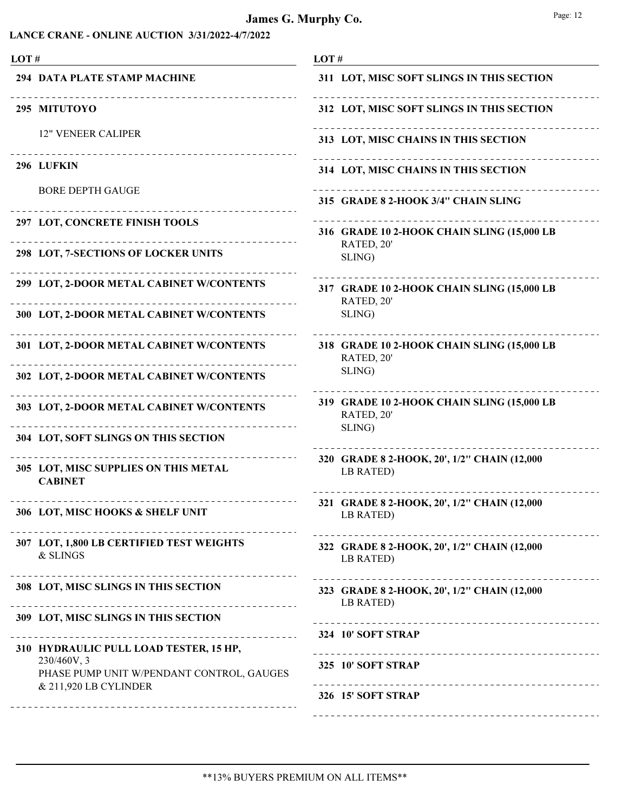| LOT# |                                                                                       | LOT#                                                     |  |
|------|---------------------------------------------------------------------------------------|----------------------------------------------------------|--|
|      | 294 DATA PLATE STAMP MACHINE                                                          | 311 LOT, MISC SOFT SLINGS IN THIS SECTION                |  |
|      | 295 MITUTOYO                                                                          | 312 LOT, MISC SOFT SLINGS IN THIS SECTION                |  |
|      | <b>12" VENEER CALIPER</b>                                                             | 313 LOT, MISC CHAINS IN THIS SECTION                     |  |
|      | _________________________________<br>296 LUFKIN                                       | 314 LOT, MISC CHAINS IN THIS SECTION                     |  |
|      | <b>BORE DEPTH GAUGE</b>                                                               | 315 GRADE 8 2-HOOK 3/4" CHAIN SLING                      |  |
|      | 297 LOT, CONCRETE FINISH TOOLS                                                        | 316 GRADE 10 2-HOOK CHAIN SLING (15,000 LB               |  |
|      | 298 LOT, 7-SECTIONS OF LOCKER UNITS                                                   | RATED, 20'<br>SLING)                                     |  |
|      | 299 LOT, 2-DOOR METAL CABINET W/CONTENTS                                              | 317 GRADE 10 2-HOOK CHAIN SLING (15,000 LB<br>RATED, 20' |  |
|      | 300 LOT, 2-DOOR METAL CABINET W/CONTENTS                                              | SLING)                                                   |  |
|      | 301 LOT, 2-DOOR METAL CABINET W/CONTENTS                                              | 318 GRADE 10 2-HOOK CHAIN SLING (15,000 LB<br>RATED, 20' |  |
|      | 302 LOT, 2-DOOR METAL CABINET W/CONTENTS                                              | SLING)                                                   |  |
|      | 303 LOT, 2-DOOR METAL CABINET W/CONTENTS                                              | 319 GRADE 10 2-HOOK CHAIN SLING (15,000 LB<br>RATED, 20' |  |
|      | 304 LOT, SOFT SLINGS ON THIS SECTION                                                  | SLING)                                                   |  |
|      | 305 LOT, MISC SUPPLIES ON THIS METAL<br><b>CABINET</b>                                | 320 GRADE 8 2-HOOK, 20', 1/2" CHAIN (12,000<br>LB RATED) |  |
|      | --------------------------------<br>306 LOT, MISC HOOKS & SHELF UNIT                  | 321 GRADE 8 2-HOOK, 20', 1/2" CHAIN (12,000<br>LB RATED) |  |
|      | 307 LOT, 1,800 LB CERTIFIED TEST WEIGHTS<br>& SLINGS                                  | 322 GRADE 8 2-HOOK, 20', 1/2" CHAIN (12,000<br>LB RATED) |  |
|      | 308 LOT, MISC SLINGS IN THIS SECTION                                                  | 323 GRADE 8 2-HOOK, 20', 1/2" CHAIN (12,000<br>LB RATED) |  |
|      | 309 LOT, MISC SLINGS IN THIS SECTION                                                  |                                                          |  |
|      | ____________________________<br>310 HYDRAULIC PULL LOAD TESTER, 15 HP,<br>230/460V, 3 | 324 10' SOFT STRAP<br>---------------------------        |  |
|      | PHASE PUMP UNIT W/PENDANT CONTROL, GAUGES<br>& 211,920 LB CYLINDER                    | 325 10' SOFT STRAP<br>---------------------------------  |  |
|      |                                                                                       | 326 15' SOFT STRAP                                       |  |
|      |                                                                                       |                                                          |  |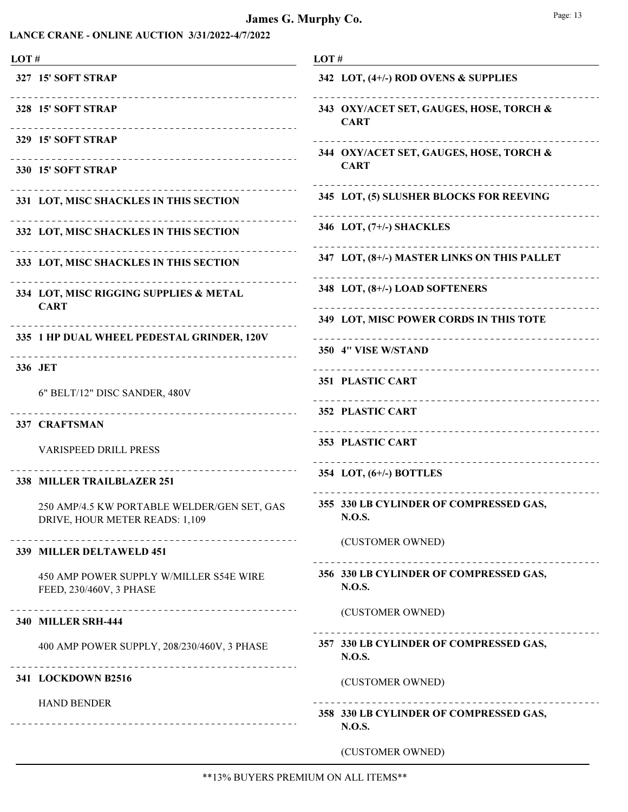# James G. Murphy Co.

|--|--|

| LOT#                                                                              | LOT#                                                       |
|-----------------------------------------------------------------------------------|------------------------------------------------------------|
| <b>327 15' SOFT STRAP</b>                                                         | 342 LOT, (4+/-) ROD OVENS & SUPPLIES                       |
| 328 15' SOFT STRAP<br>------------------------------                              | 343 OXY/ACET SET, GAUGES, HOSE, TORCH &<br><b>CART</b>     |
| <b>329 15' SOFT STRAP</b><br>_____________________________                        | 344 OXY/ACET SET, GAUGES, HOSE, TORCH &                    |
| <b>330 15' SOFT STRAP</b>                                                         | <b>CART</b>                                                |
| 331 LOT, MISC SHACKLES IN THIS SECTION                                            | 345 LOT, (5) SLUSHER BLOCKS FOR REEVING                    |
| 332 LOT, MISC SHACKLES IN THIS SECTION                                            | 346 LOT, (7+/-) SHACKLES                                   |
| 333 LOT, MISC SHACKLES IN THIS SECTION                                            | 347 LOT, (8+/-) MASTER LINKS ON THIS PALLET                |
| 334 LOT, MISC RIGGING SUPPLIES & METAL<br><b>CART</b>                             | 348 LOT, (8+/-) LOAD SOFTENERS                             |
|                                                                                   | 349 LOT, MISC POWER CORDS IN THIS TOTE                     |
| 335 1 HP DUAL WHEEL PEDESTAL GRINDER, 120V<br>----------------------------------- | 350 4" VISE W/STAND                                        |
| 336 JET                                                                           | ----------------------------<br><b>351 PLASTIC CART</b>    |
| 6" BELT/12" DISC SANDER, 480V                                                     | <b>352 PLASTIC CART</b>                                    |
| 337 CRAFTSMAN                                                                     |                                                            |
| <b>VARISPEED DRILL PRESS</b>                                                      | 353 PLASTIC CART<br>______________________________________ |
| 338 MILLER TRAILBLAZER 251                                                        | 354 LOT, (6+/-) BOTTLES                                    |
| 250 AMP/4.5 KW PORTABLE WELDER/GEN SET, GAS<br>DRIVE, HOUR METER READS: 1,109     | 355 330 LB CYLINDER OF COMPRESSED GAS,<br><b>N.O.S.</b>    |
| .<br>339 MILLER DELTAWELD 451                                                     | (CUSTOMER OWNED)                                           |
| 450 AMP POWER SUPPLY W/MILLER S54E WIRE<br>FEED, 230/460V, 3 PHASE                | 356 330 LB CYLINDER OF COMPRESSED GAS,<br><b>N.O.S.</b>    |
| <b>340 MILLER SRH-444</b>                                                         | (CUSTOMER OWNED)                                           |
| 400 AMP POWER SUPPLY, 208/230/460V, 3 PHASE                                       | 357 330 LB CYLINDER OF COMPRESSED GAS,<br><b>N.O.S.</b>    |
| 341 LOCKDOWN B2516                                                                | (CUSTOMER OWNED)                                           |
| <b>HAND BENDER</b>                                                                | 358 330 LB CYLINDER OF COMPRESSED GAS,<br><b>N.O.S.</b>    |
|                                                                                   | (CUSTOMER OWNED)                                           |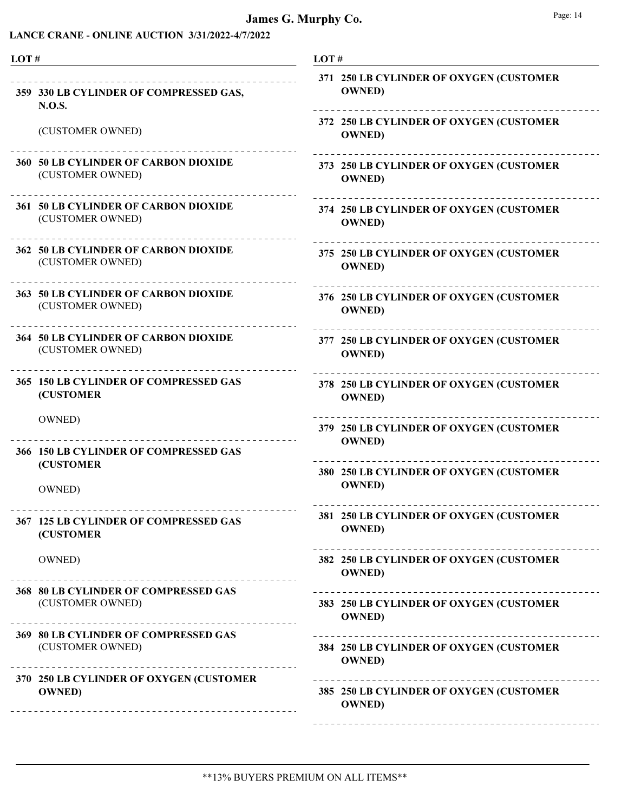# James G. Murphy Co.

| I |  |
|---|--|
|---|--|

| LOT# |                                                                                                     | LOT#                                                      |  |
|------|-----------------------------------------------------------------------------------------------------|-----------------------------------------------------------|--|
|      | 359 330 LB CYLINDER OF COMPRESSED GAS,<br><b>N.O.S.</b>                                             | 371 250 LB CYLINDER OF OXYGEN (CUSTOMER<br><b>OWNED</b> ) |  |
|      | (CUSTOMER OWNED)                                                                                    | 372 250 LB CYLINDER OF OXYGEN (CUSTOMER<br><b>OWNED</b> ) |  |
|      | <b>360 50 LB CYLINDER OF CARBON DIOXIDE</b><br>(CUSTOMER OWNED)                                     | 373 250 LB CYLINDER OF OXYGEN (CUSTOMER<br><b>OWNED</b> ) |  |
|      | 361 50 LB CYLINDER OF CARBON DIOXIDE<br>(CUSTOMER OWNED)                                            | 374 250 LB CYLINDER OF OXYGEN (CUSTOMER<br><b>OWNED</b> ) |  |
|      | 362 50 LB CYLINDER OF CARBON DIOXIDE<br>(CUSTOMER OWNED)                                            | 375 250 LB CYLINDER OF OXYGEN (CUSTOMER<br><b>OWNED</b> ) |  |
|      | 363 50 LB CYLINDER OF CARBON DIOXIDE<br>(CUSTOMER OWNED)                                            | 376 250 LB CYLINDER OF OXYGEN (CUSTOMER<br><b>OWNED</b> ) |  |
|      | <b>364 50 LB CYLINDER OF CARBON DIOXIDE</b><br>(CUSTOMER OWNED)                                     | 377 250 LB CYLINDER OF OXYGEN (CUSTOMER<br><b>OWNED</b> ) |  |
|      | 365 150 LB CYLINDER OF COMPRESSED GAS<br><b>(CUSTOMER</b>                                           | 378 250 LB CYLINDER OF OXYGEN (CUSTOMER<br><b>OWNED</b> ) |  |
|      | OWNED)                                                                                              | 379 250 LB CYLINDER OF OXYGEN (CUSTOMER<br><b>OWNED</b> ) |  |
|      | 366 150 LB CYLINDER OF COMPRESSED GAS<br><b>(CUSTOMER</b>                                           | 380 250 LB CYLINDER OF OXYGEN (CUSTOMER                   |  |
|      | OWNED)                                                                                              | <b>OWNED</b> )                                            |  |
|      | 367 125 LB CYLINDER OF COMPRESSED GAS<br><b>(CUSTOMER)</b>                                          | 381 250 LB CYLINDER OF OXYGEN (CUSTOMER<br><b>OWNED</b> ) |  |
|      | OWNED)                                                                                              | 382 250 LB CYLINDER OF OXYGEN (CUSTOMER<br><b>OWNED</b> ) |  |
|      | 368 80 LB CYLINDER OF COMPRESSED GAS<br>(CUSTOMER OWNED)                                            | 383 250 LB CYLINDER OF OXYGEN (CUSTOMER<br><b>OWNED</b> ) |  |
|      | 369 80 LB CYLINDER OF COMPRESSED GAS<br>(CUSTOMER OWNED)                                            | 384 250 LB CYLINDER OF OXYGEN (CUSTOMER<br><b>OWNED</b> ) |  |
|      | 370 250 LB CYLINDER OF OXYGEN (CUSTOMER<br><b>OWNED</b> )<br>______________________________________ | 385 250 LB CYLINDER OF OXYGEN (CUSTOMER<br><b>OWNED</b> ) |  |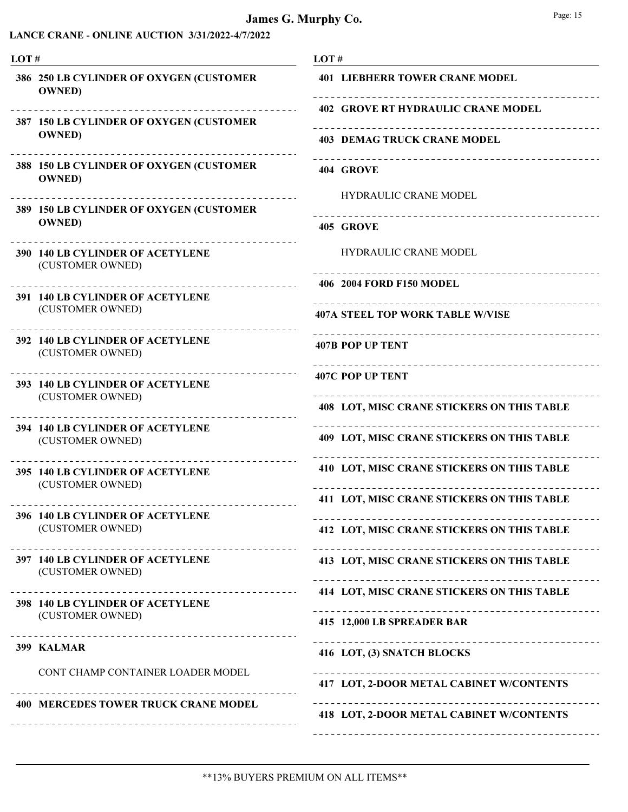| LOT#           |                                                                            | LOT#                                                       |  |
|----------------|----------------------------------------------------------------------------|------------------------------------------------------------|--|
|                | 386 250 LB CYLINDER OF OXYGEN (CUSTOMER<br><b>OWNED</b> )                  | <b>401 LIEBHERR TOWER CRANE MODEL</b>                      |  |
|                | 387 150 LB CYLINDER OF OXYGEN (CUSTOMER                                    | <b>402 GROVE RT HYDRAULIC CRANE MODEL</b>                  |  |
|                | <b>OWNED</b> )                                                             | <b>403 DEMAG TRUCK CRANE MODEL</b>                         |  |
|                | 388 150 LB CYLINDER OF OXYGEN (CUSTOMER<br><b>OWNED</b> )                  | 404 GROVE                                                  |  |
|                | 389 150 LB CYLINDER OF OXYGEN (CUSTOMER                                    | <b>HYDRAULIC CRANE MODEL</b>                               |  |
| <b>OWNED</b> ) | 405 GROVE                                                                  |                                                            |  |
|                | <b>390 140 LB CYLINDER OF ACETYLENE</b><br>(CUSTOMER OWNED)                | <b>HYDRAULIC CRANE MODEL</b>                               |  |
|                | . <u>_ _ _ _ _ _ _ _ _ _ _ _ _ _</u> _<br>391 140 LB CYLINDER OF ACETYLENE | 406 2004 FORD F150 MODEL                                   |  |
|                | (CUSTOMER OWNED)                                                           | <b>407A STEEL TOP WORK TABLE W/VISE</b>                    |  |
|                | 392 140 LB CYLINDER OF ACETYLENE<br>(CUSTOMER OWNED)                       | -------------------------------<br><b>407B POP UP TENT</b> |  |
|                | 393 140 LB CYLINDER OF ACETYLENE                                           | 407C POP UP TENT                                           |  |
|                | (CUSTOMER OWNED)                                                           | <b>408 LOT, MISC CRANE STICKERS ON THIS TABLE</b>          |  |
|                | 394 140 LB CYLINDER OF ACETYLENE<br>(CUSTOMER OWNED)                       | 409 LOT, MISC CRANE STICKERS ON THIS TABLE                 |  |
|                | .<br>395 140 LB CYLINDER OF ACETYLENE<br>(CUSTOMER OWNED)                  | 410 LOT, MISC CRANE STICKERS ON THIS TABLE                 |  |
|                |                                                                            | 411 LOT, MISC CRANE STICKERS ON THIS TABLE                 |  |
|                | 396 140 LB CYLINDER OF ACETYLENE<br>(CUSTOMER OWNED)                       | 412 LOT, MISC CRANE STICKERS ON THIS TABLE                 |  |
|                | 397 140 LB CYLINDER OF ACETYLENE<br>(CUSTOMER OWNED)                       | 413 LOT, MISC CRANE STICKERS ON THIS TABLE                 |  |
|                |                                                                            | 414 LOT, MISC CRANE STICKERS ON THIS TABLE                 |  |
|                | 398 140 LB CYLINDER OF ACETYLENE<br>(CUSTOMER OWNED)                       | 415 12,000 LB SPREADER BAR                                 |  |
|                | 399 KALMAR                                                                 | 416 LOT, (3) SNATCH BLOCKS                                 |  |
|                | CONT CHAMP CONTAINER LOADER MODEL                                          | 417 LOT, 2-DOOR METAL CABINET W/CONTENTS                   |  |
|                | <b>400 MERCEDES TOWER TRUCK CRANE MODEL</b>                                | 418 LOT, 2-DOOR METAL CABINET W/CONTENTS                   |  |
|                |                                                                            |                                                            |  |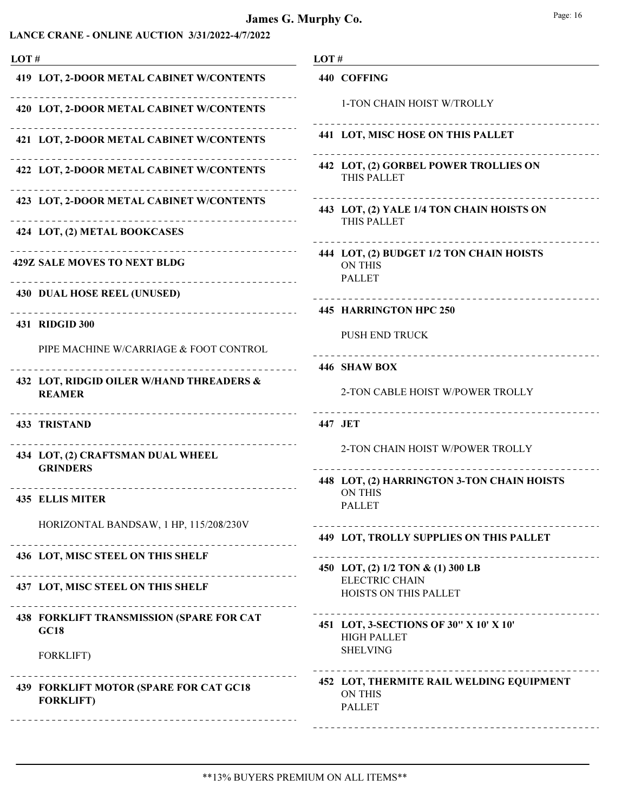| LOT# |                                                                                                | LOT#                                                                        |  |
|------|------------------------------------------------------------------------------------------------|-----------------------------------------------------------------------------|--|
|      | 419 LOT, 2-DOOR METAL CABINET W/CONTENTS                                                       | 440 COFFING                                                                 |  |
|      | 420 LOT, 2-DOOR METAL CABINET W/CONTENTS                                                       | 1-TON CHAIN HOIST W/TROLLY                                                  |  |
|      | 421 LOT, 2-DOOR METAL CABINET W/CONTENTS                                                       | <b>441 LOT, MISC HOSE ON THIS PALLET</b>                                    |  |
|      | 422 LOT, 2-DOOR METAL CABINET W/CONTENTS                                                       | 442 LOT, (2) GORBEL POWER TROLLIES ON<br><b>THIS PALLET</b>                 |  |
|      | 423 LOT, 2-DOOR METAL CABINET W/CONTENTS                                                       | 443 LOT, (2) YALE 1/4 TON CHAIN HOISTS ON                                   |  |
|      | 424 LOT, (2) METAL BOOKCASES                                                                   | THIS PALLET                                                                 |  |
|      | -------------------------------<br><b>429Z SALE MOVES TO NEXT BLDG</b><br>-------------------- | 444 LOT, (2) BUDGET 1/2 TON CHAIN HOISTS<br><b>ON THIS</b><br><b>PALLET</b> |  |
|      | <b>430 DUAL HOSE REEL (UNUSED)</b>                                                             | ____________________________________                                        |  |
|      | 431 RIDGID 300                                                                                 | 445 HARRINGTON HPC 250                                                      |  |
|      | PIPE MACHINE W/CARRIAGE & FOOT CONTROL                                                         | <b>PUSH END TRUCK</b>                                                       |  |
|      |                                                                                                | 446 SHAW BOX                                                                |  |
|      | 432 LOT, RIDGID OILER W/HAND THREADERS &<br><b>REAMER</b>                                      | 2-TON CABLE HOIST W/POWER TROLLY                                            |  |
|      | <b>433 TRISTAND</b>                                                                            | 447 JET                                                                     |  |
|      | 434 LOT, (2) CRAFTSMAN DUAL WHEEL<br><b>GRINDERS</b>                                           | 2-TON CHAIN HOIST W/POWER TROLLY                                            |  |
|      |                                                                                                | 448 LOT, (2) HARRINGTON 3-TON CHAIN HOISTS                                  |  |
|      | <b>435 ELLIS MITER</b>                                                                         | <b>ON THIS</b><br><b>PALLET</b>                                             |  |
|      | HORIZONTAL BANDSAW, 1 HP, 115/208/230V                                                         | 449 LOT, TROLLY SUPPLIES ON THIS PALLET                                     |  |
|      | 436 LOT, MISC STEEL ON THIS SHELF                                                              | ___________________                                                         |  |
|      | <u> 222222222222</u>                                                                           | 450 LOT, (2) 1/2 TON & (1) 300 LB<br><b>ELECTRIC CHAIN</b>                  |  |
|      | 437 LOT, MISC STEEL ON THIS SHELF                                                              | HOISTS ON THIS PALLET                                                       |  |
|      | 438 FORKLIFT TRANSMISSION (SPARE FOR CAT<br>GC18                                               | 451 LOT, 3-SECTIONS OF 30" X 10' X 10"<br><b>HIGH PALLET</b>                |  |
|      | <b>FORKLIFT)</b>                                                                               | <b>SHELVING</b>                                                             |  |
|      | 439 FORKLIFT MOTOR (SPARE FOR CAT GC18<br><b>FORKLIFT)</b><br>_____________________________    | 452 LOT, THERMITE RAIL WELDING EQUIPMENT<br><b>ON THIS</b><br><b>PALLET</b> |  |
|      |                                                                                                |                                                                             |  |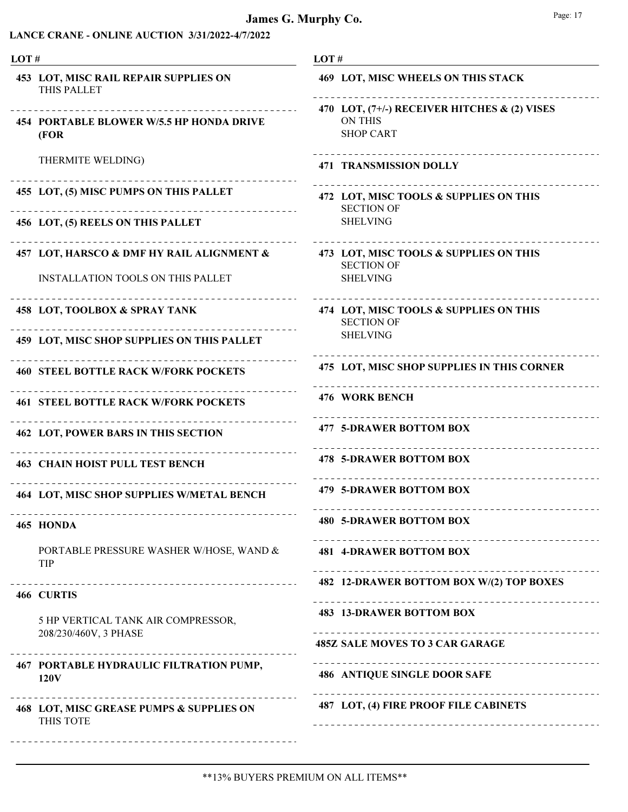| LOT#                                                                           | LOT#                                                                                                                |
|--------------------------------------------------------------------------------|---------------------------------------------------------------------------------------------------------------------|
| <b>453 LOT, MISC RAIL REPAIR SUPPLIES ON</b><br>THIS PALLET                    | 469 LOT, MISC WHEELS ON THIS STACK                                                                                  |
| <b>454 PORTABLE BLOWER W/5.5 HP HONDA DRIVE</b><br>(FOR)                       | 470 LOT, (7+/-) RECEIVER HITCHES & (2) VISES<br><b>ON THIS</b><br><b>SHOP CART</b>                                  |
| THERMITE WELDING)                                                              | _ _ _ _ _ _ _ _ _ _ _ _ _ _ _ _ _ _ _ _<br><b>471 TRANSMISSION DOLLY</b>                                            |
| 455 LOT, (5) MISC PUMPS ON THIS PALLET                                         | 472 LOT, MISC TOOLS & SUPPLIES ON THIS<br><b>SECTION OF</b>                                                         |
| 456 LOT, (5) REELS ON THIS PALLET                                              | <b>SHELVING</b>                                                                                                     |
| 457 LOT, HARSCO & DMF HY RAIL ALIGNMENT &<br>INSTALLATION TOOLS ON THIS PALLET | 473 LOT, MISC TOOLS & SUPPLIES ON THIS<br><b>SECTION OF</b><br><b>SHELVING</b>                                      |
| 458 LOT, TOOLBOX & SPRAY TANK                                                  | _________________________________<br>474 LOT, MISC TOOLS & SUPPLIES ON THIS<br><b>SECTION OF</b><br><b>SHELVING</b> |
| 459 LOT, MISC SHOP SUPPLIES ON THIS PALLET                                     |                                                                                                                     |
| <b>460 STEEL BOTTLE RACK W/FORK POCKETS</b>                                    | 475 LOT, MISC SHOP SUPPLIES IN THIS CORNER                                                                          |
| <b>461 STEEL BOTTLE RACK W/FORK POCKETS</b>                                    | 476 WORK BENCH                                                                                                      |
| <b>462 LOT, POWER BARS IN THIS SECTION</b>                                     | <b>477 5-DRAWER BOTTOM BOX</b>                                                                                      |
| <b>463 CHAIN HOIST PULL TEST BENCH</b>                                         | <b>478 5-DRAWER BOTTOM BOX</b>                                                                                      |
| <b>464 LOT, MISC SHOP SUPPLIES W/METAL BENCH</b>                               | <b>479 5-DRAWER BOTTOM BOX</b>                                                                                      |
| 465 HONDA                                                                      | <b>480 5-DRAWER BOTTOM BOX</b><br>________________________                                                          |
| PORTABLE PRESSURE WASHER W/HOSE, WAND &<br>TIP                                 | <b>481 4-DRAWER BOTTOM BOX</b>                                                                                      |
| 466 CURTIS                                                                     | 482 12-DRAWER BOTTOM BOX W/(2) TOP BOXES                                                                            |
| 5 HP VERTICAL TANK AIR COMPRESSOR,<br>208/230/460V, 3 PHASE                    | <b>483 13-DRAWER BOTTOM BOX</b>                                                                                     |
|                                                                                | <b>485Z SALE MOVES TO 3 CAR GARAGE</b>                                                                              |
| 467 PORTABLE HYDRAULIC FILTRATION PUMP,<br>120V                                | <b>486 ANTIQUE SINGLE DOOR SAFE</b>                                                                                 |
| 468 LOT, MISC GREASE PUMPS & SUPPLIES ON<br>THIS TOTE                          | 487 LOT, (4) FIRE PROOF FILE CABINETS                                                                               |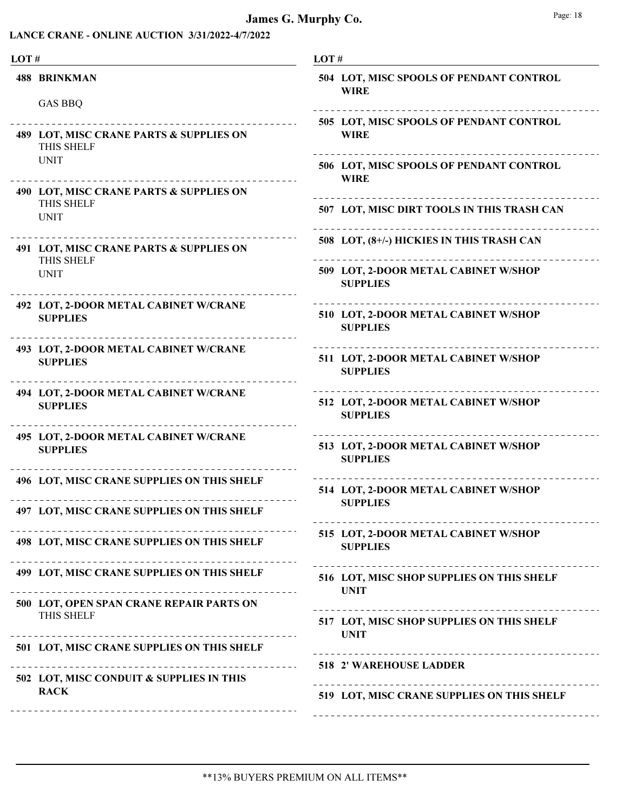| LOT#                                                                               | LOT#                                                                                                                                                                                                                                                                                                                                                                                                                                                                                                         |
|------------------------------------------------------------------------------------|--------------------------------------------------------------------------------------------------------------------------------------------------------------------------------------------------------------------------------------------------------------------------------------------------------------------------------------------------------------------------------------------------------------------------------------------------------------------------------------------------------------|
| <b>488 BRINKMAN</b><br><b>GAS BBQ</b>                                              | 504 LOT, MISC SPOOLS OF PENDANT CONTROL<br><b>WIRE</b>                                                                                                                                                                                                                                                                                                                                                                                                                                                       |
| 489 LOT, MISC CRANE PARTS & SUPPLIES ON<br>THIS SHELF                              | 505 LOT, MISC SPOOLS OF PENDANT CONTROL<br><b>WIRE</b>                                                                                                                                                                                                                                                                                                                                                                                                                                                       |
| <b>UNIT</b>                                                                        | 506 LOT, MISC SPOOLS OF PENDANT CONTROL<br><b>WIRE</b>                                                                                                                                                                                                                                                                                                                                                                                                                                                       |
| 490 LOT, MISC CRANE PARTS & SUPPLIES ON<br>THIS SHELF<br><b>UNIT</b>               | 507 LOT, MISC DIRT TOOLS IN THIS TRASH CAN                                                                                                                                                                                                                                                                                                                                                                                                                                                                   |
| .<br>491 LOT, MISC CRANE PARTS & SUPPLIES ON                                       | 508 LOT, (8+/-) HICKIES IN THIS TRASH CAN                                                                                                                                                                                                                                                                                                                                                                                                                                                                    |
| THIS SHELF<br><b>UNIT</b>                                                          | 509 LOT, 2-DOOR METAL CABINET W/SHOP<br><b>SUPPLIES</b>                                                                                                                                                                                                                                                                                                                                                                                                                                                      |
| 492 LOT, 2-DOOR METAL CABINET W/CRANE<br><b>SUPPLIES</b><br>______________________ | 510 LOT, 2-DOOR METAL CABINET W/SHOP<br><b>SUPPLIES</b>                                                                                                                                                                                                                                                                                                                                                                                                                                                      |
| 493 LOT, 2-DOOR METAL CABINET W/CRANE<br><b>SUPPLIES</b>                           | 511 LOT, 2-DOOR METAL CABINET W/SHOP<br><b>SUPPLIES</b>                                                                                                                                                                                                                                                                                                                                                                                                                                                      |
| 494 LOT, 2-DOOR METAL CABINET W/CRANE<br><b>SUPPLIES</b>                           | 512 LOT, 2-DOOR METAL CABINET W/SHOP<br><b>SUPPLIES</b>                                                                                                                                                                                                                                                                                                                                                                                                                                                      |
| 495 LOT, 2-DOOR METAL CABINET W/CRANE<br><b>SUPPLIES</b>                           | 513 LOT, 2-DOOR METAL CABINET W/SHOP<br><b>SUPPLIES</b>                                                                                                                                                                                                                                                                                                                                                                                                                                                      |
| 496 LOT, MISC CRANE SUPPLIES ON THIS SHELF                                         | 514 LOT, 2-DOOR METAL CABINET W/SHOP<br><b>SUPPLIES</b>                                                                                                                                                                                                                                                                                                                                                                                                                                                      |
| 497 LOT, MISC CRANE SUPPLIES ON THIS SHELF                                         |                                                                                                                                                                                                                                                                                                                                                                                                                                                                                                              |
| 498 LOT, MISC CRANE SUPPLIES ON THIS SHELF                                         | 515 LOT, 2-DOOR METAL CABINET W/SHOP<br><b>SUPPLIES</b>                                                                                                                                                                                                                                                                                                                                                                                                                                                      |
| 499 LOT, MISC CRANE SUPPLIES ON THIS SHELF                                         | 516 LOT, MISC SHOP SUPPLIES ON THIS SHELF<br><b>UNIT</b>                                                                                                                                                                                                                                                                                                                                                                                                                                                     |
| 500 LOT, OPEN SPAN CRANE REPAIR PARTS ON<br>THIS SHELF                             | 517 LOT, MISC SHOP SUPPLIES ON THIS SHELF<br><b>UNIT</b>                                                                                                                                                                                                                                                                                                                                                                                                                                                     |
| 501 LOT, MISC CRANE SUPPLIES ON THIS SHELF                                         |                                                                                                                                                                                                                                                                                                                                                                                                                                                                                                              |
| 502 LOT, MISC CONDUIT & SUPPLIES IN THIS                                           | <b>518 2' WAREHOUSE LADDER</b><br>$\frac{1}{2} \left( \frac{1}{2} \right) \left( \frac{1}{2} \right) \left( \frac{1}{2} \right) \left( \frac{1}{2} \right) \left( \frac{1}{2} \right) \left( \frac{1}{2} \right) \left( \frac{1}{2} \right) \left( \frac{1}{2} \right) \left( \frac{1}{2} \right) \left( \frac{1}{2} \right) \left( \frac{1}{2} \right) \left( \frac{1}{2} \right) \left( \frac{1}{2} \right) \left( \frac{1}{2} \right) \left( \frac{1}{2} \right) \left( \frac{1}{2} \right) \left( \frac$ |
| <b>RACK</b>                                                                        | 519 LOT, MISC CRANE SUPPLIES ON THIS SHELF                                                                                                                                                                                                                                                                                                                                                                                                                                                                   |
|                                                                                    |                                                                                                                                                                                                                                                                                                                                                                                                                                                                                                              |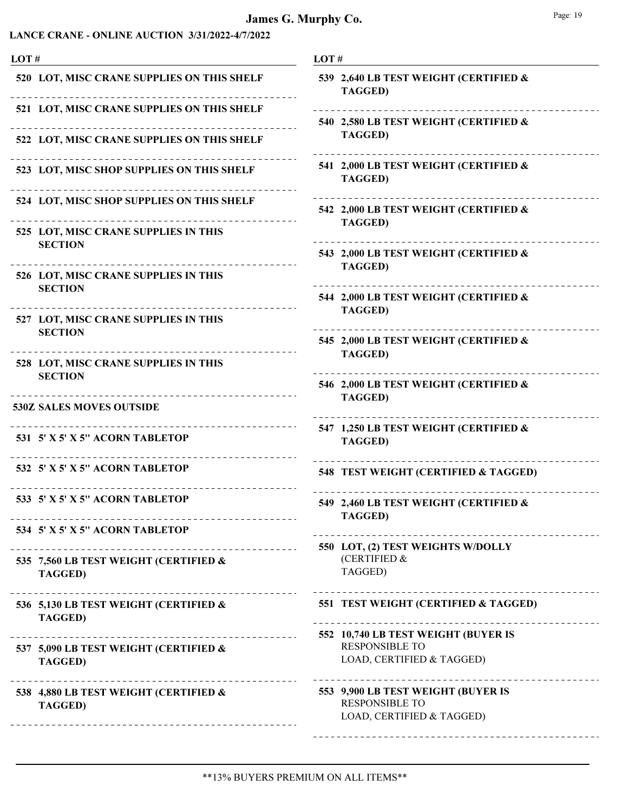| LOT# |                                                                                                        | LOT#                                                                                      |
|------|--------------------------------------------------------------------------------------------------------|-------------------------------------------------------------------------------------------|
|      | 520 LOT, MISC CRANE SUPPLIES ON THIS SHELF                                                             | 539 2,640 LB TEST WEIGHT (CERTIFIED &<br><b>TAGGED)</b>                                   |
|      | 521 LOT, MISC CRANE SUPPLIES ON THIS SHELF                                                             |                                                                                           |
|      | 522 LOT, MISC CRANE SUPPLIES ON THIS SHELF                                                             | 540 2,580 LB TEST WEIGHT (CERTIFIED &<br><b>TAGGED)</b>                                   |
|      | 523 LOT, MISC SHOP SUPPLIES ON THIS SHELF                                                              | 541 2,000 LB TEST WEIGHT (CERTIFIED &<br><b>TAGGED)</b>                                   |
|      | 524 LOT, MISC SHOP SUPPLIES ON THIS SHELF                                                              | 542 2,000 LB TEST WEIGHT (CERTIFIED &                                                     |
|      | 525 LOT, MISC CRANE SUPPLIES IN THIS<br><b>SECTION</b>                                                 | <b>TAGGED)</b>                                                                            |
|      |                                                                                                        | 543 2,000 LB TEST WEIGHT (CERTIFIED &<br><b>TAGGED)</b>                                   |
|      | 526 LOT, MISC CRANE SUPPLIES IN THIS<br><b>SECTION</b>                                                 | 544 2,000 LB TEST WEIGHT (CERTIFIED &                                                     |
|      | 527 LOT, MISC CRANE SUPPLIES IN THIS<br><b>SECTION</b>                                                 | <b>TAGGED)</b>                                                                            |
|      | ________________<br>528 LOT, MISC CRANE SUPPLIES IN THIS                                               | 545 2,000 LB TEST WEIGHT (CERTIFIED &<br><b>TAGGED)</b>                                   |
|      | <b>SECTION</b>                                                                                         | 546 2,000 LB TEST WEIGHT (CERTIFIED &                                                     |
|      | <b>530Z SALES MOVES OUTSIDE</b>                                                                        | <b>TAGGED)</b>                                                                            |
|      | 531 5' X 5' X 5" ACORN TABLETOP                                                                        | 547 1,250 LB TEST WEIGHT (CERTIFIED &<br><b>TAGGED)</b>                                   |
|      | 532 5' X 5' X 5" ACORN TABLETOP                                                                        | 548 TEST WEIGHT (CERTIFIED & TAGGED)                                                      |
|      | 533 5' X 5' X 5" ACORN TABLETOP                                                                        | 549 2,460 LB TEST WEIGHT (CERTIFIED &<br><b>TAGGED)</b>                                   |
|      | 534 5' X 5' X 5" ACORN TABLETOP                                                                        |                                                                                           |
|      | 535 7,560 LB TEST WEIGHT (CERTIFIED &<br><b>TAGGED)</b>                                                | 550 LOT, (2) TEST WEIGHTS W/DOLLY<br>(CERTIFIED &<br>TAGGED)                              |
|      | .<br>536 5,130 LB TEST WEIGHT (CERTIFIED &<br><b>TAGGED)</b>                                           | 551 TEST WEIGHT (CERTIFIED & TAGGED)                                                      |
|      | _________________________________<br>537 5,090 LB TEST WEIGHT (CERTIFIED &<br><b>TAGGED)</b>           | 552 10,740 LB TEST WEIGHT (BUYER IS<br><b>RESPONSIBLE TO</b><br>LOAD, CERTIFIED & TAGGED) |
|      | .<br>538 4,880 LB TEST WEIGHT (CERTIFIED &<br><b>TAGGED)</b><br>______________________________________ | 553 9,900 LB TEST WEIGHT (BUYER IS<br><b>RESPONSIBLE TO</b><br>LOAD, CERTIFIED & TAGGED)  |
|      |                                                                                                        |                                                                                           |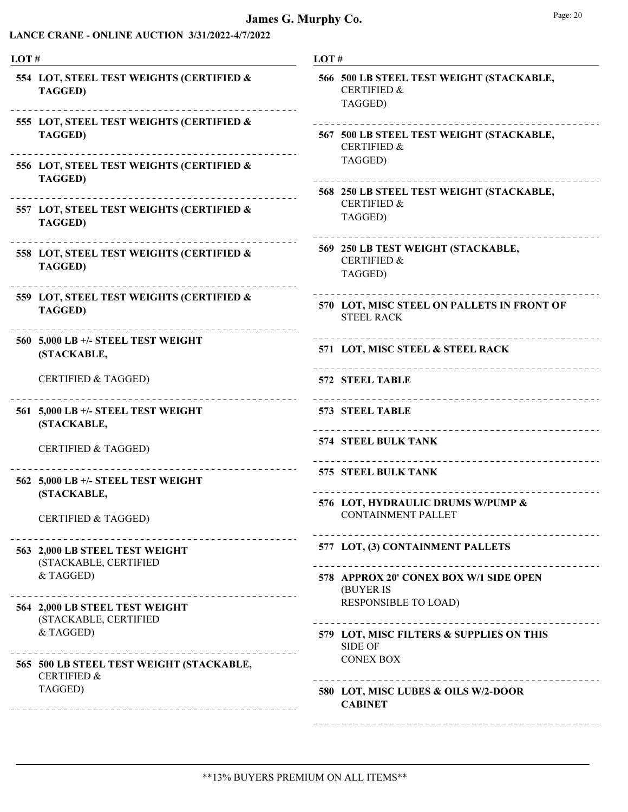# James G. Murphy Co.

|--|

| LOT#                                                                                              | LOT#                                                                          |
|---------------------------------------------------------------------------------------------------|-------------------------------------------------------------------------------|
| 554 LOT, STEEL TEST WEIGHTS (CERTIFIED &<br><b>TAGGED)</b>                                        | 566 500 LB STEEL TEST WEIGHT (STACKABLE,<br><b>CERTIFIED &amp;</b><br>TAGGED) |
| 555 LOT, STEEL TEST WEIGHTS (CERTIFIED &<br><b>TAGGED)</b>                                        | 567 500 LB STEEL TEST WEIGHT (STACKABLE,<br><b>CERTIFIED &amp;</b>            |
| 556 LOT, STEEL TEST WEIGHTS (CERTIFIED &<br><b>TAGGED)</b>                                        | TAGGED)                                                                       |
| ___________________________________<br>557 LOT, STEEL TEST WEIGHTS (CERTIFIED &<br><b>TAGGED)</b> | 568 250 LB STEEL TEST WEIGHT (STACKABLE,<br><b>CERTIFIED &amp;</b><br>TAGGED) |
| 558 LOT, STEEL TEST WEIGHTS (CERTIFIED &<br><b>TAGGED)</b>                                        | 569 250 LB TEST WEIGHT (STACKABLE,<br><b>CERTIFIED &amp;</b><br>TAGGED)       |
| 559 LOT, STEEL TEST WEIGHTS (CERTIFIED &<br><b>TAGGED)</b>                                        | 570 LOT, MISC STEEL ON PALLETS IN FRONT OF<br><b>STEEL RACK</b>               |
| 560 5,000 LB +/- STEEL TEST WEIGHT<br>(STACKABLE,                                                 | 571 LOT, MISC STEEL & STEEL RACK                                              |
| <b>CERTIFIED &amp; TAGGED)</b>                                                                    | 572 STEEL TABLE                                                               |
| 561 5,000 LB +/- STEEL TEST WEIGHT<br>(STACKABLE,                                                 | 573 STEEL TABLE                                                               |
| <b>CERTIFIED &amp; TAGGED)</b>                                                                    | <b>574 STEEL BULK TANK</b><br>_______________________                         |
| 562 5,000 LB +/- STEEL TEST WEIGHT                                                                | 575 STEEL BULK TANK                                                           |
| (STACKABLE,<br><b>CERTIFIED &amp; TAGGED)</b>                                                     | 576 LOT, HYDRAULIC DRUMS W/PUMP &<br><b>CONTAINMENT PALLET</b>                |
| 563 2,000 LB STEEL TEST WEIGHT<br>(STACKABLE, CERTIFIED                                           | 577 LOT, (3) CONTAINMENT PALLETS                                              |
| & TAGGED)                                                                                         | 578 APPROX 20' CONEX BOX W/1 SIDE OPEN<br>(BUYER IS                           |
| 564 2,000 LB STEEL TEST WEIGHT<br>(STACKABLE, CERTIFIED                                           | <b>RESPONSIBLE TO LOAD)</b>                                                   |
| & TAGGED)                                                                                         | 579 LOT, MISC FILTERS & SUPPLIES ON THIS<br><b>SIDE OF</b>                    |
| 565 500 LB STEEL TEST WEIGHT (STACKABLE,<br><b>CERTIFIED &amp;</b>                                | <b>CONEX BOX</b>                                                              |
| TAGGED)                                                                                           | 580 LOT, MISC LUBES & OILS W/2-DOOR<br><b>CABINET</b>                         |